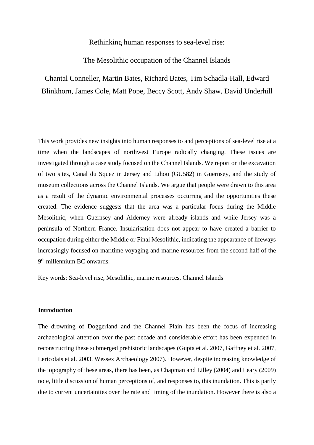Rethinking human responses to sea-level rise:

The Mesolithic occupation of the Channel Islands

Chantal Conneller, Martin Bates, Richard Bates, Tim Schadla-Hall, Edward Blinkhorn, James Cole, Matt Pope, Beccy Scott, Andy Shaw, David Underhill

This work provides new insights into human responses to and perceptions of sea-level rise at a time when the landscapes of northwest Europe radically changing. These issues are investigated through a case study focused on the Channel Islands. We report on the excavation of two sites, Canal du Squez in Jersey and Lihou (GU582) in Guernsey, and the study of museum collections across the Channel Islands. We argue that people were drawn to this area as a result of the dynamic environmental processes occurring and the opportunities these created. The evidence suggests that the area was a particular focus during the Middle Mesolithic, when Guernsey and Alderney were already islands and while Jersey was a peninsula of Northern France. Insularisation does not appear to have created a barrier to occupation during either the Middle or Final Mesolithic, indicating the appearance of lifeways increasingly focused on maritime voyaging and marine resources from the second half of the 9<sup>th</sup> millennium BC onwards.

Key words: Sea-level rise, Mesolithic, marine resources, Channel Islands

# **Introduction**

The drowning of Doggerland and the Channel Plain has been the focus of increasing archaeological attention over the past decade and considerable effort has been expended in reconstructing these submerged prehistoric landscapes (Gupta et al. 2007, Gaffney et al. 2007, Lericolais et al. 2003, Wessex Archaeology 2007). However, despite increasing knowledge of the topography of these areas, there has been, as Chapman and Lilley (2004) and Leary (2009) note, little discussion of human perceptions of, and responses to, this inundation. This is partly due to current uncertainties over the rate and timing of the inundation. However there is also a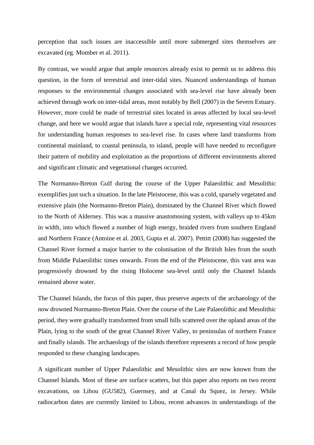perception that such issues are inaccessible until more submerged sites themselves are excavated (eg. Momber et al. 2011).

By contrast, we would argue that ample resources already exist to permit us to address this question, in the form of terrestrial and inter-tidal sites. Nuanced understandings of human responses to the environmental changes associated with sea-level rise have already been achieved through work on inter-tidal areas, most notably by Bell (2007) in the Severn Estuary. However, more could be made of terrestrial sites located in areas affected by local sea-level change, and here we would argue that islands have a special role, representing vital resources for understanding human responses to sea-level rise. In cases where land transforms from continental mainland, to coastal peninsula, to island, people will have needed to reconfigure their pattern of mobility and exploitation as the proportions of different environments altered and significant climatic and vegetational changes occurred.

The Normanno-Breton Gulf during the course of the Upper Palaeolithic and Mesolithic exemplifies just such a situation. In the late Pleistocene, this was a cold, sparsely vegetated and extensive plain (the Normanno-Breton Plain), dominated by the Channel River which flowed to the North of Alderney. This was a massive anastomosing system, with valleys up to 45km in width, into which flowed a number of high energy, braided rivers from southern England and Northern France (Antoine et al. 2003, Gupta et al. 2007). Pettitt (2008) has suggested the Channel River formed a major barrier to the colonisation of the British Isles from the south from Middle Palaeolithic times onwards. From the end of the Pleistocene, this vast area was progressively drowned by the rising Holocene sea-level until only the Channel Islands remained above water.

The Channel Islands, the focus of this paper, thus preserve aspects of the archaeology of the now drowned Normanno-Breton Plain. Over the course of the Late Palaeolithic and Mesolithic period, they were gradually transformed from small hills scattered over the upland areas of the Plain, lying to the south of the great Channel River Valley, to peninsulas of northern France and finally islands. The archaeology of the islands therefore represents a record of how people responded to these changing landscapes.

A significant number of Upper Palaeolithic and Mesolithic sites are now known from the Channel Islands. Most of these are surface scatters, but this paper also reports on two recent excavations, on Lihou (GU582), Guernsey, and at Canal du Squez, in Jersey. While radiocarbon dates are currently limited to Lihou, recent advances in understandings of the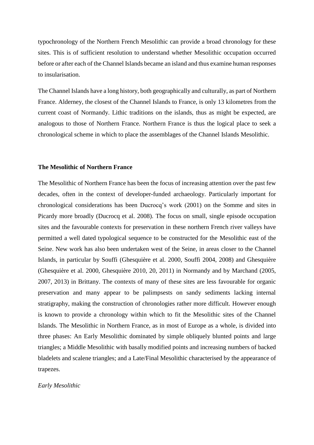typochronology of the Northern French Mesolithic can provide a broad chronology for these sites. This is of sufficient resolution to understand whether Mesolithic occupation occurred before or after each of the Channel Islands became an island and thus examine human responses to insularisation.

The Channel Islands have a long history, both geographically and culturally, as part of Northern France. Alderney, the closest of the Channel Islands to France, is only 13 kilometres from the current coast of Normandy. Lithic traditions on the islands, thus as might be expected, are analogous to those of Northern France. Northern France is thus the logical place to seek a chronological scheme in which to place the assemblages of the Channel Islands Mesolithic.

#### **The Mesolithic of Northern France**

The Mesolithic of Northern France has been the focus of increasing attention over the past few decades, often in the context of developer-funded archaeology. Particularly important for chronological considerations has been Ducrocq's work (2001) on the Somme and sites in Picardy more broadly (Ducrocq et al. 2008). The focus on small, single episode occupation sites and the favourable contexts for preservation in these northern French river valleys have permitted a well dated typological sequence to be constructed for the Mesolithic east of the Seine. New work has also been undertaken west of the Seine, in areas closer to the Channel Islands, in particular by Souffi (Ghesquière et al. 2000, Souffi 2004, 2008) and Ghesquière (Ghesquière et al. 2000, Ghesquière 2010, 20, 2011) in Normandy and by Marchand (2005, 2007, 2013) in Brittany. The contexts of many of these sites are less favourable for organic preservation and many appear to be palimpsests on sandy sediments lacking internal stratigraphy, making the construction of chronologies rather more difficult. However enough is known to provide a chronology within which to fit the Mesolithic sites of the Channel Islands. The Mesolithic in Northern France, as in most of Europe as a whole, is divided into three phases: An Early Mesolithic dominated by simple obliquely blunted points and large triangles; a Middle Mesolithic with basally modified points and increasing numbers of backed bladelets and scalene triangles; and a Late/Final Mesolithic characterised by the appearance of trapezes.

## *Early Mesolithic*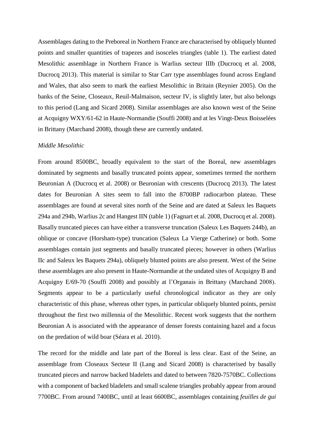Assemblages dating to the Preboreal in Northern France are characterised by obliquely blunted points and smaller quantities of trapezes and isosceles triangles (table 1). The earliest dated Mesolithic assemblage in Northern France is Warlius secteur IIIb (Ducrocq et al. 2008, Ducrocq 2013). This material is similar to Star Carr type assemblages found across England and Wales, that also seem to mark the earliest Mesolithic in Britain (Reynier 2005). On the banks of the Seine, Closeaux, Reuil-Malmaison, secteur IV, is slightly later, but also belongs to this period (Lang and Sicard 2008). Similar assemblages are also known west of the Seine at Acquigny WXY/61-62 in Haute-Normandie (Souffi 2008) and at les Vingt-Deux Boisselées in Brittany (Marchand 2008), though these are currently undated.

### *Middle Mesolithic*

From around 8500BC, broadly equivalent to the start of the Boreal, new assemblages dominated by segments and basally truncated points appear, sometimes termed the northern Beuronian A (Ducrocq et al. 2008) or Beuronian with crescents (Ducrocq 2013). The latest dates for Beuronian A sites seem to fall into the 8700BP radiocarbon plateau. These assemblages are found at several sites north of the Seine and are dated at Saleux les Baquets 294a and 294b, Warlius 2c and Hangest IIN (table 1) (Fagnart et al. 2008, Ducrocq et al. 2008). Basally truncated pieces can have either a transverse truncation (Saleux Les Baquets 244b), an oblique or concave (Horsham-type) truncation (Saleux La Vierge Catherine) or both. Some assemblages contain just segments and basally truncated pieces; however in others (Warlius IIc and Saleux les Baquets 294a), obliquely blunted points are also present. West of the Seine these assemblages are also present in Haute-Normandie at the undated sites of Acquigny B and Acquigny E/69-70 (Souffi 2008) and possibly at l'Organais in Brittany (Marchand 2008). Segments appear to be a particularly useful chronological indicator as they are only characteristic of this phase, whereas other types, in particular obliquely blunted points, persist throughout the first two millennia of the Mesolithic. Recent work suggests that the northern Beuronian A is associated with the appearance of denser forests containing hazel and a focus on the predation of wild boar (Séara et al. 2010).

The record for the middle and late part of the Boreal is less clear. East of the Seine, an assemblage from Closeaux Secteur II (Lang and Sicard 2008) is characterised by basally truncated pieces and narrow backed bladelets and dated to between 7820-7570BC. Collections with a component of backed bladelets and small scalene triangles probably appear from around 7700BC. From around 7400BC, until at least 6600BC, assemblages containing *feuilles de gui*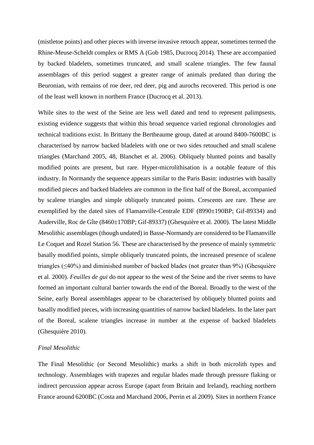(mistletoe points) and other pieces with inverse invasive retouch appear, sometimes termed the Rhine-Meuse-Scheldt complex or RMS A (Gob 1985, Ducrocq 2014). These are accompanied by backed bladelets, sometimes truncated, and small scalene triangles. The few faunal assemblages of this period suggest a greater range of animals predated than during the Beuronian, with remains of roe deer, red deer, pig and aurochs recovered. This period is one of the least well known in northern France (Ducrocq et al. 2013).

While sites to the west of the Seine are less well dated and tend to represent palimpsests, existing evidence suggests that within this broad sequence varied regional chronologies and technical traditions exist. In Brittany the Bertheaume group, dated at around 8400-7600BC is characterised by narrow backed bladelets with one or two sides retouched and small scalene triangles (Marchand 2005, 48, Blanchet et al. 2006). Obliquely blunted points and basally modified points are present, but rare. Hyper-microlithisation is a notable feature of this industry. In Normandy the sequence appears similar to the Paris Basin: industries with basally modified pieces and backed bladelets are common in the first half of the Boreal, accompanied by scalene triangles and simple obliquely truncated points. Crescents are rare. These are exemplified by the dated sites of Flamanville-Centrale EDF (8990±190BP; Gif-89334) and Auderville, Roc de Gîte (8460±170BP; Gif-89337) (Ghesquière et al. 2000). The latest Middle Mesolithic assemblages (though undated) in Basse-Normandy are considered to be Flamanville Le Coquet and Rozel Station 56. These are characterised by the presence of mainly symmetric basally modified points, simple obliquely truncated points, the increased presence of scalene triangles (≤40%) and diminished number of backed blades (not greater than 9%) (Ghesquière et al. 2000). *Feuilles de gui* do not appear to the west of the Seine and the river seems to have formed an important cultural barrier towards the end of the Boreal. Broadly to the west of the Seine, early Boreal assemblages appear to be characterised by obliquely blunted points and basally modified pieces, with increasing quantities of narrow backed bladelets. In the later part of the Boreal, scalene triangles increase in number at the expense of backed bladelets (Ghesquière 2010).

## *Final Mesolithic*

The Final Mesolithic (or Second Mesolithic) marks a shift in both microlith types and technology. Assemblages with trapezes and regular blades made through pressure flaking or indirect percussion appear across Europe (apart from Britain and Ireland), reaching northern France around 6200BC (Costa and Marchand 2006, Perrin et al 2009). Sites in northern France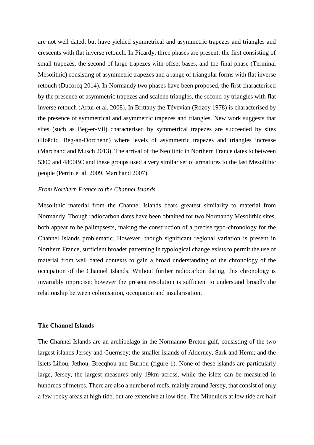are not well dated, but have yielded symmetrical and asymmetric trapezes and triangles and crescents with flat inverse retouch. In Picardy, three phases are present: the first consisting of small trapezes, the second of large trapezes with offset bases, and the final phase (Terminal Mesolithic) consisting of asymmetric trapezes and a range of triangular forms with flat inverse retouch (Ducorcq 2014). In Normandy two phases have been proposed, the first characterised by the presence of asymmetric trapezes and scalene triangles, the second by triangles with flat inverse retouch (Artur et al. 2008). In Brittany the Tévevian (Rozoy 1978) is characterised by the presence of symmetrical and asymmetric trapezes and triangles. New work suggests that sites (such as Beg-er-Vil) characterised by symmetrical trapezes are succeeded by sites (Hoëdic, Beg-an-Dorchenn) where levels of asymmetric trapezes and triangles increase (Marchand and Musch 2013). The arrival of the Neolithic in Northern France dates to between 5300 and 4800BC and these groups used a very similar set of armatures to the last Mesolithic people (Perrin et al. 2009, Marchand 2007).

### *From Northern France to the Channel Islands*

Mesolithic material from the Channel Islands bears greatest similarity to material from Normandy. Though radiocarbon dates have been obtained for two Normandy Mesolithic sites, both appear to be palimpsests, making the construction of a precise typo-chronology for the Channel Islands problematic. However, though significant regional variation is present in Northern France, sufficient broader patterning in typological change exists to permit the use of material from well dated contexts to gain a broad understanding of the chronology of the occupation of the Channel Islands. Without further radiocarbon dating, this chronology is invariably imprecise; however the present resolution is sufficient to understand broadly the relationship between colonisation, occupation and insularisation.

## **The Channel Islands**

The Channel Islands are an archipelago in the Normanno-Breton gulf, consisting of the two largest islands Jersey and Guernsey; the smaller islands of Alderney, Sark and Herm; and the islets Lihou, Jethou, Brecqhou and Burhou (figure 1). None of these islands are particularly large, Jersey, the largest measures only 19km across, while the islets can be measured in hundreds of metres. There are also a number of reefs, mainly around Jersey, that consist of only a few rocky areas at high tide, but are extensive at low tide. The Minquiers at low tide are half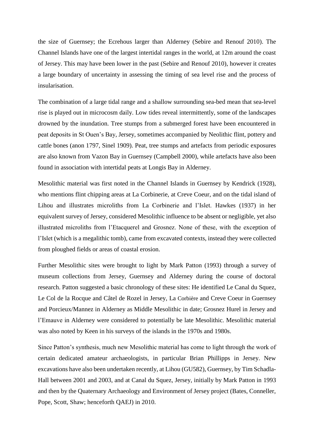the size of Guernsey; the Ecrehous larger than Alderney (Sebire and Renouf 2010). The Channel Islands have one of the largest intertidal ranges in the world, at 12m around the coast of Jersey. This may have been lower in the past (Sebire and Renouf 2010), however it creates a large boundary of uncertainty in assessing the timing of sea level rise and the process of insularisation.

The combination of a large tidal range and a shallow surrounding sea-bed mean that sea-level rise is played out in microcosm daily. Low tides reveal intermittently, some of the landscapes drowned by the inundation. Tree stumps from a submerged forest have been encountered in peat deposits in St Ouen's Bay, Jersey, sometimes accompanied by Neolithic flint, pottery and cattle bones (anon 1797, Sinel 1909). Peat, tree stumps and artefacts from periodic exposures are also known from Vazon Bay in Guernsey (Campbell 2000), while artefacts have also been found in association with intertidal peats at Longis Bay in Alderney.

Mesolithic material was first noted in the Channel Islands in Guernsey by Kendrick (1928), who mentions flint chipping areas at La Corbinerie, at Creve Coeur, and on the tidal island of Lihou and illustrates microliths from La Corbinerie and l'Islet. Hawkes (1937) in her equivalent survey of Jersey, considered Mesolithic influence to be absent or negligible, yet also illustrated microliths from l'Etacquerel and Grosnez. None of these, with the exception of l'Islet (which is a megalithic tomb), came from excavated contexts, instead they were collected from ploughed fields or areas of coastal erosion.

Further Mesolithic sites were brought to light by Mark Patton (1993) through a survey of museum collections from Jersey, Guernsey and Alderney during the course of doctoral research. Patton suggested a basic chronology of these sites: He identified Le Canal du Squez, Le Col de la Rocque and Câtel de Rozel in Jersey, La Corbière and Creve Coeur in Guernsey and Porcieux/Mannez in Alderney as Middle Mesolithic in date; Grosnez Hurel in Jersey and l'Emauve in Alderney were considered to potentially be late Mesolithic. Mesolithic material was also noted by Keen in his surveys of the islands in the 1970s and 1980s.

Since Patton's synthesis, much new Mesolithic material has come to light through the work of certain dedicated amateur archaeologists, in particular Brian Phillipps in Jersey. New excavations have also been undertaken recently, at Lihou (GU582), Guernsey, by Tim Schadla-Hall between 2001 and 2003, and at Canal du Squez, Jersey, initially by Mark Patton in 1993 and then by the Quaternary Archaeology and Environment of Jersey project (Bates, Conneller, Pope, Scott, Shaw; henceforth QAEJ) in 2010.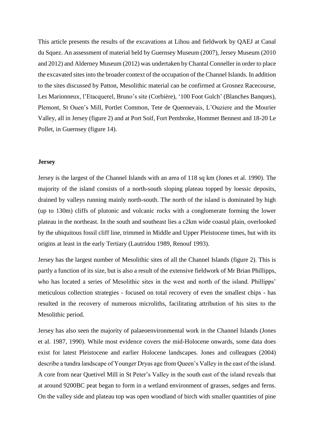This article presents the results of the excavations at Lihou and fieldwork by QAEJ at Canal du Squez. An assessment of material held by Guernsey Museum (2007), Jersey Museum (2010 and 2012) and Alderney Museum (2012) was undertaken by Chantal Conneller in order to place the excavated sites into the broader context of the occupation of the Channel Islands. In addition to the sites discussed by Patton, Mesolithic material can be confirmed at Grosnez Racecourse, Les Marionneux, l'Etacquerel, Bruno's site (Corbière), '100 Foot Gulch' (Blanches Banques), Plemont, St Ouen's Mill, Portlet Common, Tete de Quennevais, L'Ouziere and the Mourier Valley, all in Jersey (figure 2) and at Port Soif, Fort Pembroke, Hommet Bennest and 18-20 Le Pollet, in Guernsey (figure 14).

## **Jersey**

Jersey is the largest of the Channel Islands with an area of 118 sq km (Jones et al. 1990). The majority of the island consists of a north-south sloping plateau topped by loessic deposits, drained by valleys running mainly north-south. The north of the island is dominated by high (up to 130m) cliffs of plutonic and volcanic rocks with a conglomerate forming the lower plateau in the northeast. In the south and southeast lies a c2km wide coastal plain, overlooked by the ubiquitous fossil cliff line, trimmed in Middle and Upper Pleistocene times, but with its origins at least in the early Tertiary (Lautridou 1989, Renouf 1993).

Jersey has the largest number of Mesolithic sites of all the Channel Islands (figure 2). This is partly a function of its size, but is also a result of the extensive fieldwork of Mr Brian Phillipps, who has located a series of Mesolithic sites in the west and north of the island. Phillipps' meticulous collection strategies - focused on total recovery of even the smallest chips - has resulted in the recovery of numerous microliths, facilitating attribution of his sites to the Mesolithic period.

Jersey has also seen the majority of palaeoenvironmental work in the Channel Islands (Jones et al. 1987, 1990). While most evidence covers the mid-Holocene onwards, some data does exist for latest Pleistocene and earlier Holocene landscapes. Jones and colleagues (2004) describe a tundra landscape of Younger Dryas age from Queen's Valley in the east of the island. A core from near Quetivel Mill in St Peter's Valley in the south east of the island reveals that at around 9200BC peat began to form in a wetland environment of grasses, sedges and ferns. On the valley side and plateau top was open woodland of birch with smaller quantities of pine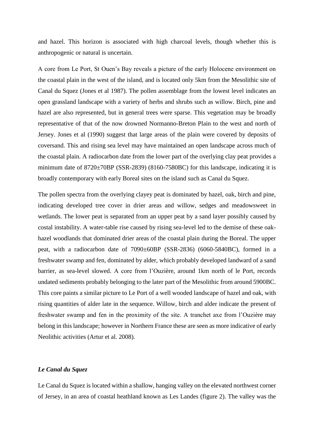and hazel. This horizon is associated with high charcoal levels, though whether this is anthropogenic or natural is uncertain.

A core from Le Port, St Ouen's Bay reveals a picture of the early Holocene environment on the coastal plain in the west of the island, and is located only 5km from the Mesolithic site of Canal du Squez (Jones et al 1987). The pollen assemblage from the lowest level indicates an open grassland landscape with a variety of herbs and shrubs such as willow. Birch, pine and hazel are also represented, but in general trees were sparse. This vegetation may be broadly representative of that of the now drowned Normanno-Breton Plain to the west and north of Jersey. Jones et al (1990) suggest that large areas of the plain were covered by deposits of coversand. This and rising sea level may have maintained an open landscape across much of the coastal plain. A radiocarbon date from the lower part of the overlying clay peat provides a minimum date of 8720±70BP (SSR-2839) (8160-7580BC) for this landscape, indicating it is broadly contemporary with early Boreal sites on the island such as Canal du Squez.

The pollen spectra from the overlying clayey peat is dominated by hazel, oak, birch and pine, indicating developed tree cover in drier areas and willow, sedges and meadowsweet in wetlands. The lower peat is separated from an upper peat by a sand layer possibly caused by costal instability. A water-table rise caused by rising sea-level led to the demise of these oakhazel woodlands that dominated drier areas of the coastal plain during the Boreal. The upper peat, with a radiocarbon date of 7090±60BP (SSR-2836) (6060-5840BC), formed in a freshwater swamp and fen, dominated by alder, which probably developed landward of a sand barrier, as sea-level slowed. A core from l'Ouzière, around 1km north of le Port, records undated sediments probably belonging to the later part of the Mesolithic from around 5900BC. This core paints a similar picture to Le Port of a well wooded landscape of hazel and oak, with rising quantities of alder late in the sequence. Willow, birch and alder indicate the present of freshwater swamp and fen in the proximity of the site. A tranchet axe from l'Ouzière may belong in this landscape; however in Northern France these are seen as more indicative of early Neolithic activities (Artur et al. 2008).

# *Le Canal du Squez*

Le Canal du Squez is located within a shallow, hanging valley on the elevated northwest corner of Jersey, in an area of coastal heathland known as Les Landes (figure 2). The valley was the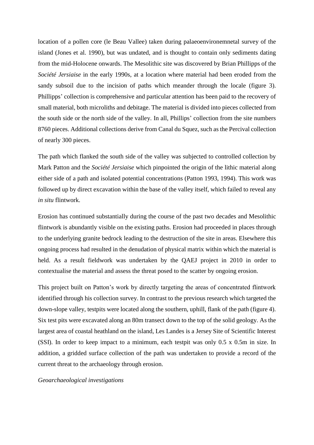location of a pollen core (le Beau Vallee) taken during palaeoenvironemnetal survey of the island (Jones et al. 1990), but was undated, and is thought to contain only sediments dating from the mid-Holocene onwards. The Mesolithic site was discovered by Brian Phillipps of the *Société Jersiaise* in the early 1990s, at a location where material had been eroded from the sandy subsoil due to the incision of paths which meander through the locale (figure 3). Phillipps' collection is comprehensive and particular attention has been paid to the recovery of small material, both microliths and debitage. The material is divided into pieces collected from the south side or the north side of the valley. In all, Phillips' collection from the site numbers 8760 pieces. Additional collections derive from Canal du Squez, such as the Percival collection of nearly 300 pieces.

The path which flanked the south side of the valley was subjected to controlled collection by Mark Patton and the *Société Jersiaise* which pinpointed the origin of the lithic material along either side of a path and isolated potential concentrations (Patton 1993, 1994). This work was followed up by direct excavation within the base of the valley itself, which failed to reveal any *in situ* flintwork.

Erosion has continued substantially during the course of the past two decades and Mesolithic flintwork is abundantly visible on the existing paths. Erosion had proceeded in places through to the underlying granite bedrock leading to the destruction of the site in areas. Elsewhere this ongoing process had resulted in the denudation of physical matrix within which the material is held. As a result fieldwork was undertaken by the QAEJ project in 2010 in order to contextualise the material and assess the threat posed to the scatter by ongoing erosion.

This project built on Patton's work by directly targeting the areas of concentrated flintwork identified through his collection survey. In contrast to the previous research which targeted the down-slope valley, testpits were located along the southern, uphill, flank of the path (figure 4). Six test pits were excavated along an 80m transect down to the top of the solid geology. As the largest area of coastal heathland on the island, Les Landes is a Jersey Site of Scientific Interest (SSI). In order to keep impact to a minimum, each testpit was only 0.5 x 0.5m in size. In addition, a gridded surface collection of the path was undertaken to provide a record of the current threat to the archaeology through erosion.

*Geoarchaeological investigations*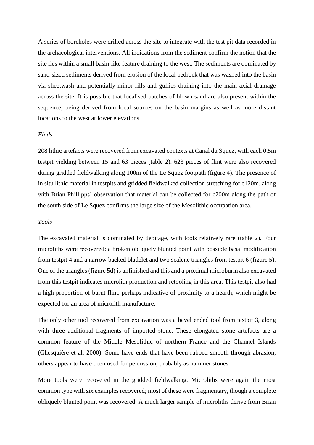A series of boreholes were drilled across the site to integrate with the test pit data recorded in the archaeological interventions. All indications from the sediment confirm the notion that the site lies within a small basin-like feature draining to the west. The sediments are dominated by sand-sized sediments derived from erosion of the local bedrock that was washed into the basin via sheetwash and potentially minor rills and gullies draining into the main axial drainage across the site. It is possible that localised patches of blown sand are also present within the sequence, being derived from local sources on the basin margins as well as more distant locations to the west at lower elevations.

### *Finds*

208 lithic artefacts were recovered from excavated contexts at Canal du Squez, with each 0.5m testpit yielding between 15 and 63 pieces (table 2). 623 pieces of flint were also recovered during gridded fieldwalking along 100m of the Le Squez footpath (figure 4). The presence of in situ lithic material in testpits and gridded fieldwalked collection stretching for c120m, along with Brian Phillipps' observation that material can be collected for c200m along the path of the south side of Le Squez confirms the large size of the Mesolithic occupation area.

### *Tools*

The excavated material is dominated by debitage, with tools relatively rare (table 2). Four microliths were recovered: a broken obliquely blunted point with possible basal modification from testpit 4 and a narrow backed bladelet and two scalene triangles from testpit 6 (figure 5). One of the triangles (figure 5d) is unfinished and this and a proximal microburin also excavated from this testpit indicates microlith production and retooling in this area. This testpit also had a high proportion of burnt flint, perhaps indicative of proximity to a hearth, which might be expected for an area of microlith manufacture.

The only other tool recovered from excavation was a bevel ended tool from testpit 3, along with three additional fragments of imported stone. These elongated stone artefacts are a common feature of the Middle Mesolithic of northern France and the Channel Islands (Ghesquière et al. 2000). Some have ends that have been rubbed smooth through abrasion, others appear to have been used for percussion, probably as hammer stones.

More tools were recovered in the gridded fieldwalking. Microliths were again the most common type with six examples recovered; most of these were fragmentary, though a complete obliquely blunted point was recovered. A much larger sample of microliths derive from Brian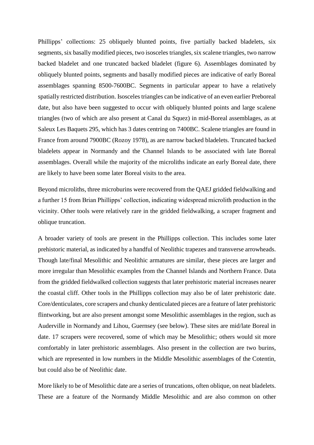Phillipps' collections: 25 obliquely blunted points, five partially backed bladelets, six segments, six basally modified pieces, two isosceles triangles, six scalene triangles, two narrow backed bladelet and one truncated backed bladelet (figure 6). Assemblages dominated by obliquely blunted points, segments and basally modified pieces are indicative of early Boreal assemblages spanning 8500-7600BC. Segments in particular appear to have a relatively spatially restricted distribution. Isosceles triangles can be indicative of an even earlier Preboreal date, but also have been suggested to occur with obliquely blunted points and large scalene triangles (two of which are also present at Canal du Squez) in mid-Boreal assemblages, as at Saleux Les Baquets 295, which has 3 dates centring on 7400BC. Scalene triangles are found in France from around 7900BC (Rozoy 1978), as are narrow backed bladelets. Truncated backed bladelets appear in Normandy and the Channel Islands to be associated with late Boreal assemblages. Overall while the majority of the microliths indicate an early Boreal date, there are likely to have been some later Boreal visits to the area.

Beyond microliths, three microburins were recovered from the QAEJ gridded fieldwalking and a further 15 from Brian Phillipps' collection, indicating widespread microlith production in the vicinity. Other tools were relatively rare in the gridded fieldwalking, a scraper fragment and oblique truncation.

A broader variety of tools are present in the Phillipps collection. This includes some later prehistoric material, as indicated by a handful of Neolithic trapezes and transverse arrowheads. Though late/final Mesolithic and Neolithic armatures are similar, these pieces are larger and more irregular than Mesolithic examples from the Channel Islands and Northern France. Data from the gridded fieldwalked collection suggests that later prehistoric material increases nearer the coastal cliff. Other tools in the Phillipps collection may also be of later prehistoric date. Core/denticulates, core scrapers and chunky denticulated pieces are a feature of later prehistoric flintworking, but are also present amongst some Mesolithic assemblages in the region, such as Auderville in Normandy and Lihou, Guernsey (see below). These sites are mid/late Boreal in date. 17 scrapers were recovered, some of which may be Mesolithic; others would sit more comfortably in later prehistoric assemblages. Also present in the collection are two burins, which are represented in low numbers in the Middle Mesolithic assemblages of the Cotentin, but could also be of Neolithic date.

More likely to be of Mesolithic date are a series of truncations, often oblique, on neat bladelets. These are a feature of the Normandy Middle Mesolithic and are also common on other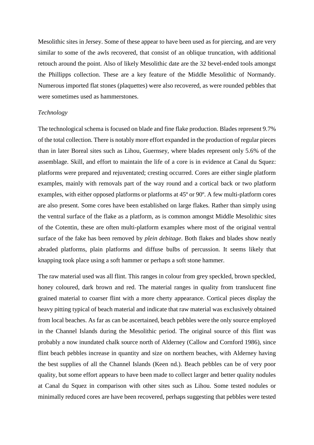Mesolithic sites in Jersey. Some of these appear to have been used as for piercing, and are very similar to some of the awls recovered, that consist of an oblique truncation, with additional retouch around the point. Also of likely Mesolithic date are the 32 bevel-ended tools amongst the Phillipps collection. These are a key feature of the Middle Mesolithic of Normandy. Numerous imported flat stones (plaquettes) were also recovered, as were rounded pebbles that were sometimes used as hammerstones.

## *Technology*

The technological schema is focused on blade and fine flake production. Blades represent 9.7% of the total collection. There is notably more effort expanded in the production of regular pieces than in later Boreal sites such as Lihou, Guernsey, where blades represent only 5.6% of the assemblage. Skill, and effort to maintain the life of a core is in evidence at Canal du Squez: platforms were prepared and rejuventated; cresting occurred. Cores are either single platform examples, mainly with removals part of the way round and a cortical back or two platform examples, with either opposed platforms or platforms at 45º or 90º. A few multi-platform cores are also present. Some cores have been established on large flakes. Rather than simply using the ventral surface of the flake as a platform, as is common amongst Middle Mesolithic sites of the Cotentin, these are often multi-platform examples where most of the original ventral surface of the fake has been removed by *plein debitage*. Both flakes and blades show neatly abraded platforms, plain platforms and diffuse bulbs of percussion. It seems likely that knapping took place using a soft hammer or perhaps a soft stone hammer.

The raw material used was all flint. This ranges in colour from grey speckled, brown speckled, honey coloured, dark brown and red. The material ranges in quality from translucent fine grained material to coarser flint with a more cherty appearance. Cortical pieces display the heavy pitting typical of beach material and indicate that raw material was exclusively obtained from local beaches. As far as can be ascertained, beach pebbles were the only source employed in the Channel Islands during the Mesolithic period. The original source of this flint was probably a now inundated chalk source north of Alderney (Callow and Cornford 1986), since flint beach pebbles increase in quantity and size on northern beaches, with Alderney having the best supplies of all the Channel Islands (Keen nd.). Beach pebbles can be of very poor quality, but some effort appears to have been made to collect larger and better quality nodules at Canal du Squez in comparison with other sites such as Lihou. Some tested nodules or minimally reduced cores are have been recovered, perhaps suggesting that pebbles were tested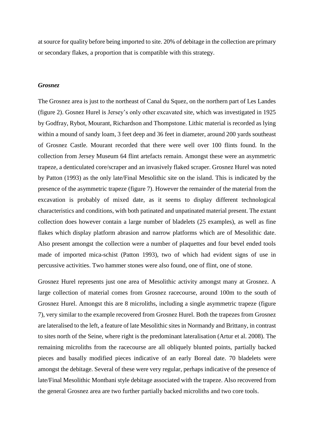at source for quality before being imported to site. 20% of debitage in the collection are primary or secondary flakes, a proportion that is compatible with this strategy.

## *Grosnez*

The Grosnez area is just to the northeast of Canal du Squez, on the northern part of Les Landes (figure 2). Gosnez Hurel is Jersey's only other excavated site, which was investigated in 1925 by Godfray, Rybot, Mourant, Richardson and Thompstone. Lithic material is recorded as lying within a mound of sandy loam, 3 feet deep and 36 feet in diameter, around 200 yards southeast of Grosnez Castle. Mourant recorded that there were well over 100 flints found. In the collection from Jersey Museum 64 flint artefacts remain. Amongst these were an asymmetric trapeze, a denticulated core/scraper and an invasively flaked scraper. Grosnez Hurel was noted by Patton (1993) as the only late/Final Mesolithic site on the island. This is indicated by the presence of the asymmetric trapeze (figure 7). However the remainder of the material from the excavation is probably of mixed date, as it seems to display different technological characteristics and conditions, with both patinated and unpatinated material present. The extant collection does however contain a large number of bladelets (25 examples), as well as fine flakes which display platform abrasion and narrow platforms which are of Mesolithic date. Also present amongst the collection were a number of plaquettes and four bevel ended tools made of imported mica-schist (Patton 1993), two of which had evident signs of use in percussive activities. Two hammer stones were also found, one of flint, one of stone.

Grosnez Hurel represents just one area of Mesolithic activity amongst many at Grosnez. A large collection of material comes from Grosnez racecourse, around 100m to the south of Grosnez Hurel. Amongst this are 8 microliths, including a single asymmetric trapeze (figure 7), very similar to the example recovered from Grosnez Hurel. Both the trapezes from Grosnez are lateralised to the left, a feature of late Mesolithic sites in Normandy and Brittany, in contrast to sites north of the Seine, where right is the predominant lateralisation (Artur et al. 2008). The remaining microliths from the racecourse are all obliquely blunted points, partially backed pieces and basally modified pieces indicative of an early Boreal date. 70 bladelets were amongst the debitage. Several of these were very regular, perhaps indicative of the presence of late/Final Mesolithic Montbani style debitage associated with the trapeze. Also recovered from the general Grosnez area are two further partially backed microliths and two core tools.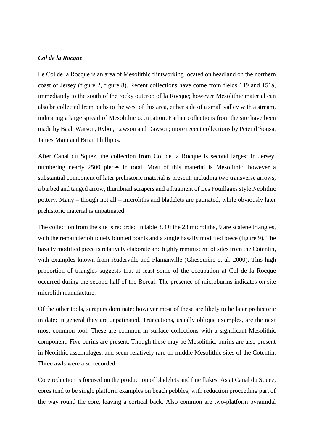## *Col de la Rocque*

Le Col de la Rocque is an area of Mesolithic flintworking located on headland on the northern coast of Jersey (figure 2, figure 8). Recent collections have come from fields 149 and 151a, immediately to the south of the rocky outcrop of la Rocque; however Mesolithic material can also be collected from paths to the west of this area, either side of a small valley with a stream, indicating a large spread of Mesolithic occupation. Earlier collections from the site have been made by Baal, Watson, Rybot, Lawson and Dawson; more recent collections by Peter d'Sousa, James Main and Brian Phillipps.

After Canal du Squez, the collection from Col de la Rocque is second largest in Jersey, numbering nearly 2500 pieces in total. Most of this material is Mesolithic, however a substantial component of later prehistoric material is present, including two transverse arrows, a barbed and tanged arrow, thumbnail scrapers and a fragment of Les Fouillages style Neolithic pottery. Many – though not all – microliths and bladelets are patinated, while obviously later prehistoric material is unpatinated.

The collection from the site is recorded in table 3. Of the 23 microliths, 9 are scalene triangles, with the remainder obliquely blunted points and a single basally modified piece (figure 9). The basally modified piece is relatively elaborate and highly reminiscent of sites from the Cotentin, with examples known from Auderville and Flamanville (Ghesquière et al. 2000). This high proportion of triangles suggests that at least some of the occupation at Col de la Rocque occurred during the second half of the Boreal. The presence of microburins indicates on site microlith manufacture.

Of the other tools, scrapers dominate; however most of these are likely to be later prehistoric in date; in general they are unpatinated. Truncations, usually oblique examples, are the next most common tool. These are common in surface collections with a significant Mesolithic component. Five burins are present. Though these may be Mesolithic, burins are also present in Neolithic assemblages, and seem relatively rare on middle Mesolithic sites of the Cotentin. Three awls were also recorded.

Core reduction is focused on the production of bladelets and fine flakes. As at Canal du Squez, cores tend to be single platform examples on beach pebbles, with reduction proceeding part of the way round the core, leaving a cortical back. Also common are two-platform pyramidal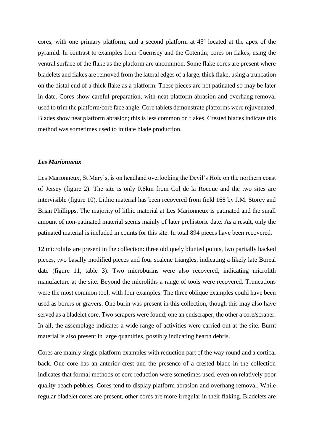cores, with one primary platform, and a second platform at 45º located at the apex of the pyramid. In contrast to examples from Guernsey and the Cotentin, cores on flakes, using the ventral surface of the flake as the platform are uncommon. Some flake cores are present where bladelets and flakes are removed from the lateral edges of a large, thick flake, using a truncation on the distal end of a thick flake as a platform. These pieces are not patinated so may be later in date. Cores show careful preparation, with neat platform abrasion and overhang removal used to trim the platform/core face angle. Core tablets demonstrate platforms were rejuvenated. Blades show neat platform abrasion; this is less common on flakes. Crested blades indicate this method was sometimes used to initiate blade production.

### *Les Marionneux*

Les Marionneux, St Mary's, is on headland overlooking the Devil's Hole on the northern coast of Jersey (figure 2). The site is only 0.6km from Col de la Rocque and the two sites are intervisible (figure 10). Lithic material has been recovered from field 168 by J.M. Storey and Brian Phillipps. The majority of lithic material at Les Marionneux is patinated and the small amount of non-patinated material seems mainly of later prehistoric date. As a result, only the patinated material is included in counts for this site. In total 894 pieces have been recovered.

12 microliths are present in the collection: three obliquely blunted points, two partially backed pieces, two basally modified pieces and four scalene triangles, indicating a likely late Boreal date (figure 11, table 3). Two microburins were also recovered, indicating microlith manufacture at the site. Beyond the microliths a range of tools were recovered. Truncations were the most common tool, with four examples. The three oblique examples could have been used as borers or gravers. One burin was present in this collection, though this may also have served as a bladelet core. Two scrapers were found; one an endscraper, the other a core/scraper. In all, the assemblage indicates a wide range of activities were carried out at the site. Burnt material is also present in large quantities, possibly indicating hearth debris.

Cores are mainly single platform examples with reduction part of the way round and a cortical back. One core has an anterior crest and the presence of a crested blade in the collection indicates that formal methods of core reduction were sometimes used, even on relatively poor quality beach pebbles. Cores tend to display platform abrasion and overhang removal. While regular bladelet cores are present, other cores are more irregular in their flaking. Bladelets are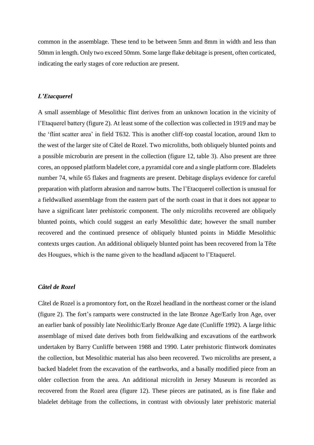common in the assemblage. These tend to be between 5mm and 8mm in width and less than 50mm in length. Only two exceed 50mm. Some large flake debitage is present, often corticated, indicating the early stages of core reduction are present.

## *L'Etacquerel*

A small assemblage of Mesolithic flint derives from an unknown location in the vicinity of l'Etaquerel battery (figure 2). At least some of the collection was collected in 1919 and may be the 'flint scatter area' in field T632. This is another cliff-top coastal location, around 1km to the west of the larger site of Câtel de Rozel. Two microliths, both obliquely blunted points and a possible microburin are present in the collection (figure 12, table 3). Also present are three cores, an opposed platform bladelet core, a pyramidal core and a single platform core. Bladelets number 74, while 65 flakes and fragments are present. Debitage displays evidence for careful preparation with platform abrasion and narrow butts. The l'Etacquerel collection is unusual for a fieldwalked assemblage from the eastern part of the north coast in that it does not appear to have a significant later prehistoric component. The only microliths recovered are obliquely blunted points, which could suggest an early Mesolithic date; however the small number recovered and the continued presence of obliquely blunted points in Middle Mesolithic contexts urges caution. An additional obliquely blunted point has been recovered from la Tête des Hougues, which is the name given to the headland adjacent to l'Etaquerel.

# *Câtel de Rozel*

Câtel de Rozel is a promontory fort, on the Rozel headland in the northeast corner or the island (figure 2). The fort's ramparts were constructed in the late Bronze Age/Early Iron Age, over an earlier bank of possibly late Neolithic/Early Bronze Age date (Cunliffe 1992). A large lithic assemblage of mixed date derives both from fieldwalking and excavations of the earthwork undertaken by Barry Cunliffe between 1988 and 1990. Later prehistoric flintwork dominates the collection, but Mesolithic material has also been recovered. Two microliths are present, a backed bladelet from the excavation of the earthworks, and a basally modified piece from an older collection from the area. An additional microlith in Jersey Museum is recorded as recovered from the Rozel area (figure 12). These pieces are patinated, as is fine flake and bladelet debitage from the collections, in contrast with obviously later prehistoric material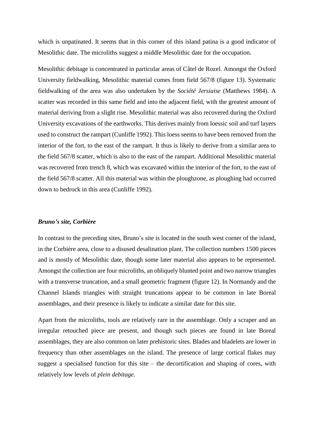which is unpatinated. It seems that in this corner of this island patina is a good indicator of Mesolithic date. The microliths suggest a middle Mesolithic date for the occupation.

Mesolithic debitage is concentrated in particular areas of Câtel de Rozel. Amongst the Oxford University fieldwalking, Mesolithic material comes from field 567/8 (figure 13). Systematic fieldwalking of the area was also undertaken by the *Société Jersiaise* (Matthews 1984). A scatter was recorded in this same field and into the adjacent field, with the greatest amount of material deriving from a slight rise. Mesolithic material was also recovered during the Oxford University excavations of the earthworks. This derives mainly from loessic soil and turf layers used to construct the rampart (Cunliffe 1992). This loess seems to have been removed from the interior of the fort, to the east of the rampart. It thus is likely to derive from a similar area to the field 567/8 scatter, which is also to the east of the rampart. Additional Mesolithic material was recovered from trench 8, which was excavated within the interior of the fort, to the east of the field 567/8 scatter. All this material was within the ploughzone, as ploughing had occurred down to bedrock in this area (Cunliffe 1992).

### *Bruno's site, Corbière*

In contrast to the preceding sites, Bruno's site is located in the south west corner of the island, in the Corbière area, close to a disused desalination plant. The collection numbers 1500 pieces and is mostly of Mesolithic date, though some later material also appears to be represented. Amongst the collection are four microliths, an obliquely blunted point and two narrow triangles with a transverse truncation, and a small geometric fragment (figure 12). In Normandy and the Channel Islands triangles with straight truncations appear to be common in late Boreal assemblages, and their presence is likely to indicate a similar date for this site.

Apart from the microliths, tools are relatively rare in the assemblage. Only a scraper and an irregular retouched piece are present, and though such pieces are found in late Boreal assemblages, they are also common on later prehistoric sites. Blades and bladelets are lower in frequency than other assemblages on the island. The presence of large cortical flakes may suggest a specialised function for this site – the decortification and shaping of cores, with relatively low levels of *plein debitage*.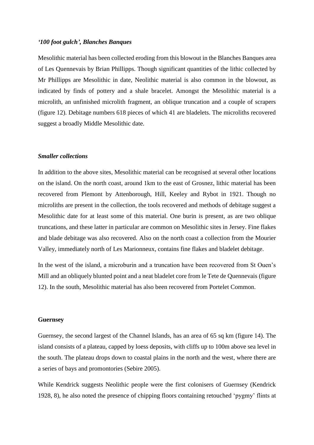## *'100 foot gulch', Blanches Banques*

Mesolithic material has been collected eroding from this blowout in the Blanches Banques area of Les Quennevais by Brian Phillipps. Though significant quantities of the lithic collected by Mr Phillipps are Mesolithic in date, Neolithic material is also common in the blowout, as indicated by finds of pottery and a shale bracelet. Amongst the Mesolithic material is a microlith, an unfinished microlith fragment, an oblique truncation and a couple of scrapers (figure 12). Debitage numbers 618 pieces of which 41 are bladelets. The microliths recovered suggest a broadly Middle Mesolithic date.

### *Smaller collections*

In addition to the above sites, Mesolithic material can be recognised at several other locations on the island. On the north coast, around 1km to the east of Grosnez, lithic material has been recovered from Plemont by Attenborough, Hill, Keeley and Rybot in 1921. Though no microliths are present in the collection, the tools recovered and methods of debitage suggest a Mesolithic date for at least some of this material. One burin is present, as are two oblique truncations, and these latter in particular are common on Mesolithic sites in Jersey. Fine flakes and blade debitage was also recovered. Also on the north coast a collection from the Mourier Valley, immediately north of Les Marionneux, contains fine flakes and bladelet debitage.

In the west of the island, a microburin and a truncation have been recovered from St Ouen's Mill and an obliquely blunted point and a neat bladelet core from le Tete de Quennevais (figure 12). In the south, Mesolithic material has also been recovered from Portelet Common.

#### **Guernsey**

Guernsey, the second largest of the Channel Islands, has an area of 65 sq km (figure 14). The island consists of a plateau, capped by loess deposits, with cliffs up to 100m above sea level in the south. The plateau drops down to coastal plains in the north and the west, where there are a series of bays and promontories (Sebire 2005).

While Kendrick suggests Neolithic people were the first colonisers of Guernsey (Kendrick 1928, 8), he also noted the presence of chipping floors containing retouched 'pygmy' flints at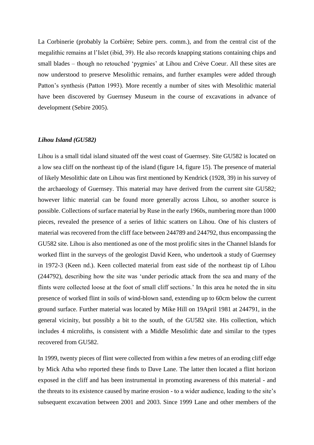La Corbinerie (probably la Corbière; Sebire pers. comm.), and from the central cist of the megalithic remains at l'Islet (ibid, 39). He also records knapping stations containing chips and small blades – though no retouched 'pygmies' at Lihou and Crève Coeur. All these sites are now understood to preserve Mesolithic remains, and further examples were added through Patton's synthesis (Patton 1993). More recently a number of sites with Mesolithic material have been discovered by Guernsey Museum in the course of excavations in advance of development (Sebire 2005).

## *Lihou Island (GU582)*

Lihou is a small tidal island situated off the west coast of Guernsey. Site GU582 is located on a low sea cliff on the northeast tip of the island (figure 14, figure 15). The presence of material of likely Mesolithic date on Lihou was first mentioned by Kendrick (1928, 39) in his survey of the archaeology of Guernsey. This material may have derived from the current site GU582; however lithic material can be found more generally across Lihou, so another source is possible. Collections of surface material by Ruse in the early 1960s, numbering more than 1000 pieces, revealed the presence of a series of lithic scatters on Lihou. One of his clusters of material was recovered from the cliff face between 244789 and 244792, thus encompassing the GU582 site. Lihou is also mentioned as one of the most prolific sites in the Channel Islands for worked flint in the surveys of the geologist David Keen, who undertook a study of Guernsey in 1972-3 (Keen nd.). Keen collected material from east side of the northeast tip of Lihou (244792), describing how the site was 'under periodic attack from the sea and many of the flints were collected loose at the foot of small cliff sections.' In this area he noted the in situ presence of worked flint in soils of wind-blown sand, extending up to 60cm below the current ground surface. Further material was located by Mike Hill on 19April 1981 at 244791, in the general vicinity, but possibly a bit to the south, of the GU582 site. His collection, which includes 4 microliths, is consistent with a Middle Mesolithic date and similar to the types recovered from GU582.

In 1999, twenty pieces of flint were collected from within a few metres of an eroding cliff edge by Mick Atha who reported these finds to Dave Lane. The latter then located a flint horizon exposed in the cliff and has been instrumental in promoting awareness of this material - and the threats to its existence caused by marine erosion - to a wider audience, leading to the site's subsequent excavation between 2001 and 2003. Since 1999 Lane and other members of the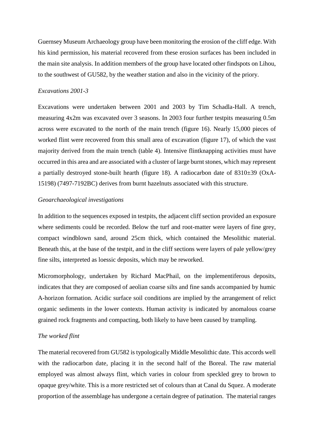Guernsey Museum Archaeology group have been monitoring the erosion of the cliff edge. With his kind permission, his material recovered from these erosion surfaces has been included in the main site analysis. In addition members of the group have located other findspots on Lihou, to the southwest of GU582, by the weather station and also in the vicinity of the priory.

## *Excavations 2001-3*

Excavations were undertaken between 2001 and 2003 by Tim Schadla-Hall. A trench, measuring 4x2m was excavated over 3 seasons. In 2003 four further testpits measuring 0.5m across were excavated to the north of the main trench (figure 16). Nearly 15,000 pieces of worked flint were recovered from this small area of excavation (figure 17), of which the vast majority derived from the main trench (table 4). Intensive flintknapping activities must have occurred in this area and are associated with a cluster of large burnt stones, which may represent a partially destroyed stone-built hearth (figure 18). A radiocarbon date of 8310±39 (OxA-15198) (7497-7192BC) derives from burnt hazelnuts associated with this structure.

## *Geoarchaeological investigations*

In addition to the sequences exposed in testpits, the adjacent cliff section provided an exposure where sediments could be recorded. Below the turf and root-matter were layers of fine grey, compact windblown sand, around 25cm thick, which contained the Mesolithic material. Beneath this, at the base of the testpit, and in the cliff sections were layers of pale yellow/grey fine silts, interpreted as loessic deposits, which may be reworked.

Micromorphology, undertaken by Richard MacPhail, on the implementiferous deposits, indicates that they are composed of aeolian coarse silts and fine sands accompanied by humic A-horizon formation. Acidic surface soil conditions are implied by the arrangement of relict organic sediments in the lower contexts. Human activity is indicated by anomalous coarse grained rock fragments and compacting, both likely to have been caused by trampling.

## *The worked flint*

The material recovered from GU582 is typologically Middle Mesolithic date. This accords well with the radiocarbon date, placing it in the second half of the Boreal. The raw material employed was almost always flint, which varies in colour from speckled grey to brown to opaque grey/white. This is a more restricted set of colours than at Canal du Squez. A moderate proportion of the assemblage has undergone a certain degree of patination. The material ranges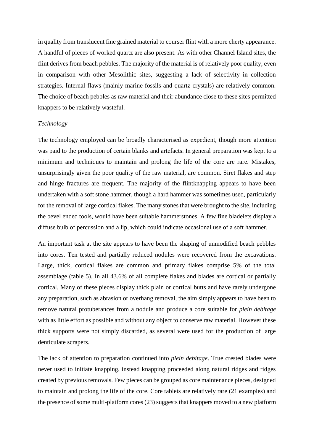in quality from translucent fine grained material to courser flint with a more cherty appearance. A handful of pieces of worked quartz are also present. As with other Channel Island sites, the flint derives from beach pebbles. The majority of the material is of relatively poor quality, even in comparison with other Mesolithic sites, suggesting a lack of selectivity in collection strategies. Internal flaws (mainly marine fossils and quartz crystals) are relatively common. The choice of beach pebbles as raw material and their abundance close to these sites permitted knappers to be relatively wasteful.

### *Technology*

The technology employed can be broadly characterised as expedient, though more attention was paid to the production of certain blanks and artefacts. In general preparation was kept to a minimum and techniques to maintain and prolong the life of the core are rare. Mistakes, unsurprisingly given the poor quality of the raw material, are common. Siret flakes and step and hinge fractures are frequent. The majority of the flintknapping appears to have been undertaken with a soft stone hammer, though a hard hammer was sometimes used, particularly for the removal of large cortical flakes. The many stones that were brought to the site, including the bevel ended tools, would have been suitable hammerstones. A few fine bladelets display a diffuse bulb of percussion and a lip, which could indicate occasional use of a soft hammer.

An important task at the site appears to have been the shaping of unmodified beach pebbles into cores. Ten tested and partially reduced nodules were recovered from the excavations. Large, thick, cortical flakes are common and primary flakes comprise 5% of the total assemblage (table 5). In all 43.6% of all complete flakes and blades are cortical or partially cortical. Many of these pieces display thick plain or cortical butts and have rarely undergone any preparation, such as abrasion or overhang removal, the aim simply appears to have been to remove natural protuberances from a nodule and produce a core suitable for *plein debitage* with as little effort as possible and without any object to conserve raw material. However these thick supports were not simply discarded, as several were used for the production of large denticulate scrapers.

The lack of attention to preparation continued into *plein debitage*. True crested blades were never used to initiate knapping, instead knapping proceeded along natural ridges and ridges created by previous removals. Few pieces can be grouped as core maintenance pieces, designed to maintain and prolong the life of the core. Core tablets are relatively rare (21 examples) and the presence of some multi-platform cores (23) suggests that knappers moved to a new platform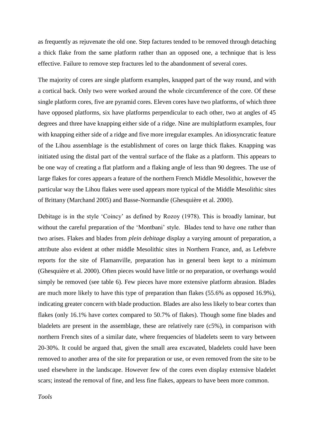as frequently as rejuvenate the old one. Step factures tended to be removed through detaching a thick flake from the same platform rather than an opposed one, a technique that is less effective. Failure to remove step fractures led to the abandonment of several cores.

The majority of cores are single platform examples, knapped part of the way round, and with a cortical back. Only two were worked around the whole circumference of the core. Of these single platform cores, five are pyramid cores. Eleven cores have two platforms, of which three have opposed platforms, six have platforms perpendicular to each other, two at angles of 45 degrees and three have knapping either side of a ridge. Nine are multiplatform examples, four with knapping either side of a ridge and five more irregular examples. An idiosyncratic feature of the Lihou assemblage is the establishment of cores on large thick flakes. Knapping was initiated using the distal part of the ventral surface of the flake as a platform. This appears to be one way of creating a flat platform and a flaking angle of less than 90 degrees. The use of large flakes for cores appears a feature of the northern French Middle Mesolithic, however the particular way the Lihou flakes were used appears more typical of the Middle Mesolithic sites of Brittany (Marchand 2005) and Basse-Normandie (Ghesquière et al. 2000).

Debitage is in the style 'Coincy' as defined by Rozoy (1978). This is broadly laminar, but without the careful preparation of the 'Montbani' style. Blades tend to have one rather than two arises. Flakes and blades from *plein debitage* display a varying amount of preparation, a attribute also evident at other middle Mesolithic sites in Northern France, and, as Lefebvre reports for the site of Flamanville, preparation has in general been kept to a minimum (Ghesquière et al. 2000). Often pieces would have little or no preparation, or overhangs would simply be removed (see table 6). Few pieces have more extensive platform abrasion. Blades are much more likely to have this type of preparation than flakes (55.6% as opposed 16.9%), indicating greater concern with blade production. Blades are also less likely to bear cortex than flakes (only 16.1% have cortex compared to 50.7% of flakes). Though some fine blades and bladelets are present in the assemblage, these are relatively rare (c5%), in comparison with northern French sites of a similar date, where frequencies of bladelets seem to vary between 20-30%. It could be argued that, given the small area excavated, bladelets could have been removed to another area of the site for preparation or use, or even removed from the site to be used elsewhere in the landscape. However few of the cores even display extensive bladelet scars; instead the removal of fine, and less fine flakes, appears to have been more common.

*Tools*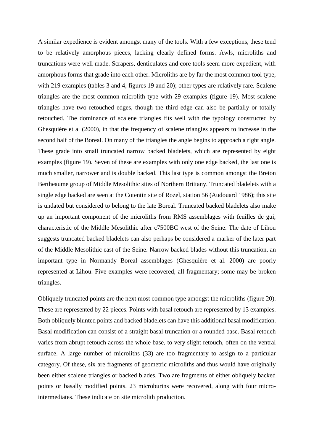A similar expedience is evident amongst many of the tools. With a few exceptions, these tend to be relatively amorphous pieces, lacking clearly defined forms. Awls, microliths and truncations were well made. Scrapers, denticulates and core tools seem more expedient, with amorphous forms that grade into each other. Microliths are by far the most common tool type, with 219 examples (tables 3 and 4, figures 19 and 20); other types are relatively rare. Scalene triangles are the most common microlith type with 29 examples (figure 19). Most scalene triangles have two retouched edges, though the third edge can also be partially or totally retouched. The dominance of scalene triangles fits well with the typology constructed by Ghesquière et al (2000), in that the frequency of scalene triangles appears to increase in the second half of the Boreal. On many of the triangles the angle begins to approach a right angle. These grade into small truncated narrow backed bladelets, which are represented by eight examples (figure 19). Seven of these are examples with only one edge backed, the last one is much smaller, narrower and is double backed. This last type is common amongst the Breton Bertheaume group of Middle Mesolithic sites of Northern Brittany. Truncated bladelets with a single edge backed are seen at the Cotentin site of Rozel, station 56 (Audouard 1986); this site is undated but considered to belong to the late Boreal. Truncated backed bladelets also make up an important component of the microliths from RMS assemblages with feuilles de gui, characteristic of the Middle Mesolithic after c7500BC west of the Seine. The date of Lihou suggests truncated backed bladelets can also perhaps be considered a marker of the later part of the Middle Mesolithic east of the Seine. Narrow backed blades without this truncation, an important type in Normandy Boreal assemblages (Ghesquière et al. 2000) are poorly represented at Lihou. Five examples were recovered, all fragmentary; some may be broken triangles.

Obliquely truncated points are the next most common type amongst the microliths (figure 20). These are represented by 22 pieces. Points with basal retouch are represented by 13 examples. Both obliquely blunted points and backed bladelets can have this additional basal modification. Basal modification can consist of a straight basal truncation or a rounded base. Basal retouch varies from abrupt retouch across the whole base, to very slight retouch, often on the ventral surface. A large number of microliths (33) are too fragmentary to assign to a particular category. Of these, six are fragments of geometric microliths and thus would have originally been either scalene triangles or backed blades. Two are fragments of either obliquely backed points or basally modified points. 23 microburins were recovered, along with four microintermediates. These indicate on site microlith production.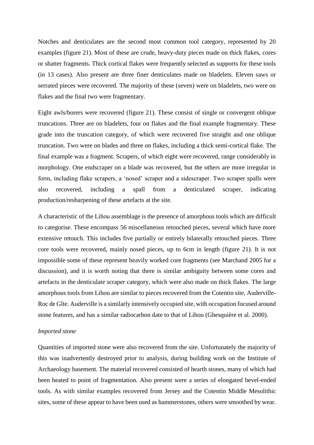Notches and denticulates are the second most common tool category, represented by 20 examples (figure 21). Most of these are crude, heavy-duty pieces made on thick flakes, cores or shatter fragments. Thick cortical flakes were frequently selected as supports for these tools (in 13 cases). Also present are three finer denticulates made on bladelets. Eleven saws or serrated pieces were recovered. The majority of these (seven) were on bladelets, two were on flakes and the final two were fragmentary.

Eight awls/borers were recovered (figure 21). These consist of single or convergent oblique truncations. Three are on bladelets, four on flakes and the final example fragmentary. These grade into the truncation category, of which were recovered five straight and one oblique truncation. Two were on blades and three on flakes, including a thick semi-cortical flake. The final example was a fragment. Scrapers, of which eight were recovered, range considerably in morphology. One endscraper on a blade was recovered, but the others are more irregular in form, including flake scrapers, a 'nosed' scraper and a sidescraper. Two scraper spalls were also recovered, including a spall from a denticulated scraper, indicating production/resharpening of these artefacts at the site.

A characteristic of the Lihou assemblage is the presence of amorphous tools which are difficult to categorise. These encompass 56 miscellaneous retouched pieces, several which have more extensive retouch. This includes five partially or entirely bilaterally retouched pieces. Three core tools were recovered, mainly nosed pieces, up to 6cm in length (figure 21). It is not impossible some of these represent heavily worked core fragments (see Marchand 2005 for a discussion), and it is worth noting that there is similar ambiguity between some cores and artefacts in the denticulate scraper category, which were also made on thick flakes. The large amorphous tools from Lihou are similar to pieces recovered from the Cotentin site, Auderville-Roc de Gîte. Auderville is a similarly intensively occupied site, with occupation focused around stone features, and has a similar radiocarbon date to that of Lihou (Ghesquière et al. 2000).

#### *Imported stone*

Quantities of imported stone were also recovered from the site. Unfortunately the majority of this was inadvertently destroyed prior to analysis, during building work on the Institute of Archaeology basement. The material recovered consisted of hearth stones, many of which had been heated to point of fragmentation. Also present were a series of elongated bevel-ended tools. As with similar examples recovered from Jersey and the Cotentin Middle Mesolithic sites, some of these appear to have been used as hammerstones, others were smoothed by wear.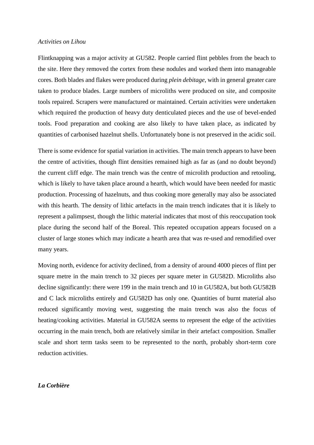### *Activities on Lihou*

Flintknapping was a major activity at GU582. People carried flint pebbles from the beach to the site. Here they removed the cortex from these nodules and worked them into manageable cores. Both blades and flakes were produced during *plein debitage*, with in general greater care taken to produce blades. Large numbers of microliths were produced on site, and composite tools repaired. Scrapers were manufactured or maintained. Certain activities were undertaken which required the production of heavy duty denticulated pieces and the use of bevel-ended tools. Food preparation and cooking are also likely to have taken place, as indicated by quantities of carbonised hazelnut shells. Unfortunately bone is not preserved in the acidic soil.

There is some evidence for spatial variation in activities. The main trench appears to have been the centre of activities, though flint densities remained high as far as (and no doubt beyond) the current cliff edge. The main trench was the centre of microlith production and retooling, which is likely to have taken place around a hearth, which would have been needed for mastic production. Processing of hazelnuts, and thus cooking more generally may also be associated with this hearth. The density of lithic artefacts in the main trench indicates that it is likely to represent a palimpsest, though the lithic material indicates that most of this reoccupation took place during the second half of the Boreal. This repeated occupation appears focused on a cluster of large stones which may indicate a hearth area that was re-used and remodified over many years.

Moving north, evidence for activity declined, from a density of around 4000 pieces of flint per square metre in the main trench to 32 pieces per square meter in GU582D. Microliths also decline significantly: there were 199 in the main trench and 10 in GU582A, but both GU582B and C lack microliths entirely and GU582D has only one. Quantities of burnt material also reduced significantly moving west, suggesting the main trench was also the focus of heating/cooking activities. Material in GU582A seems to represent the edge of the activities occurring in the main trench, both are relatively similar in their artefact composition. Smaller scale and short term tasks seem to be represented to the north, probably short-term core reduction activities.

# *La Corbière*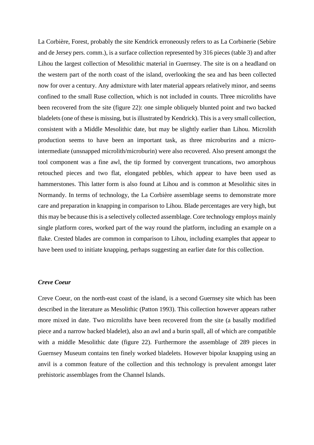La Corbière, Forest, probably the site Kendrick erroneously refers to as La Corbinerie (Sebire and de Jersey pers. comm.), is a surface collection represented by 316 pieces (table 3) and after Lihou the largest collection of Mesolithic material in Guernsey. The site is on a headland on the western part of the north coast of the island, overlooking the sea and has been collected now for over a century. Any admixture with later material appears relatively minor, and seems confined to the small Ruse collection, which is not included in counts. Three microliths have been recovered from the site (figure 22): one simple obliquely blunted point and two backed bladelets (one of these is missing, but is illustrated by Kendrick). This is a very small collection, consistent with a Middle Mesolithic date, but may be slightly earlier than Lihou. Microlith production seems to have been an important task, as three microburins and a microintermediate (unsnapped microlith/microburin) were also recovered. Also present amongst the tool component was a fine awl, the tip formed by convergent truncations, two amorphous retouched pieces and two flat, elongated pebbles, which appear to have been used as hammerstones. This latter form is also found at Lihou and is common at Mesolithic sites in Normandy. In terms of technology, the La Corbière assemblage seems to demonstrate more care and preparation in knapping in comparison to Lihou. Blade percentages are very high, but this may be because this is a selectively collected assemblage. Core technology employs mainly single platform cores, worked part of the way round the platform, including an example on a flake. Crested blades are common in comparison to Lihou, including examples that appear to have been used to initiate knapping, perhaps suggesting an earlier date for this collection.

# *Creve Coeur*

Creve Coeur, on the north-east coast of the island, is a second Guernsey site which has been described in the literature as Mesolithic (Patton 1993). This collection however appears rather more mixed in date. Two microliths have been recovered from the site (a basally modified piece and a narrow backed bladelet), also an awl and a burin spall, all of which are compatible with a middle Mesolithic date (figure 22). Furthermore the assemblage of 289 pieces in Guernsey Museum contains ten finely worked bladelets. However bipolar knapping using an anvil is a common feature of the collection and this technology is prevalent amongst later prehistoric assemblages from the Channel Islands.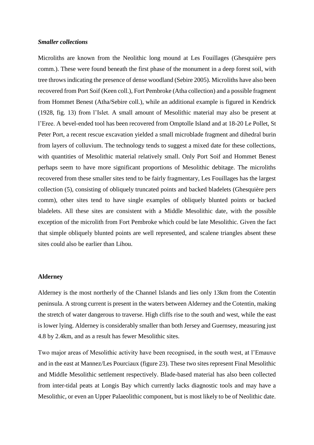### *Smaller collections*

Microliths are known from the Neolithic long mound at Les Fouillages (Ghesquière pers comm.). These were found beneath the first phase of the monument in a deep forest soil, with tree throws indicating the presence of dense woodland (Sebire 2005). Microliths have also been recovered from Port Soif (Keen coll.), Fort Pembroke (Atha collection) and a possible fragment from Hommet Benest (Atha/Sebire coll.), while an additional example is figured in Kendrick (1928, fig. 13) from l'Islet. A small amount of Mesolithic material may also be present at l'Eree. A bevel-ended tool has been recovered from Omptolle Island and at 18-20 Le Pollet, St Peter Port, a recent rescue excavation yielded a small microblade fragment and dihedral burin from layers of colluvium. The technology tends to suggest a mixed date for these collections, with quantities of Mesolithic material relatively small. Only Port Soif and Hommet Benest perhaps seem to have more significant proportions of Mesolithic debitage. The microliths recovered from these smaller sites tend to be fairly fragmentary, Les Fouillages has the largest collection (5), consisting of obliquely truncated points and backed bladelets (Ghesquière pers comm), other sites tend to have single examples of obliquely blunted points or backed bladelets. All these sites are consistent with a Middle Mesolithic date, with the possible exception of the microlith from Fort Pembroke which could be late Mesolithic. Given the fact that simple obliquely blunted points are well represented, and scalene triangles absent these sites could also be earlier than Lihou.

# **Alderney**

Alderney is the most northerly of the Channel Islands and lies only 13km from the Cotentin peninsula. A strong current is present in the waters between Alderney and the Cotentin, making the stretch of water dangerous to traverse. High cliffs rise to the south and west, while the east is lower lying. Alderney is considerably smaller than both Jersey and Guernsey, measuring just 4.8 by 2.4km, and as a result has fewer Mesolithic sites.

Two major areas of Mesolithic activity have been recognised, in the south west, at l'Emauve and in the east at Mannez/Les Pourciaux (figure 23). These two sites represent Final Mesolithic and Middle Mesolithic settlement respectively. Blade-based material has also been collected from inter-tidal peats at Longis Bay which currently lacks diagnostic tools and may have a Mesolithic, or even an Upper Palaeolithic component, but is most likely to be of Neolithic date.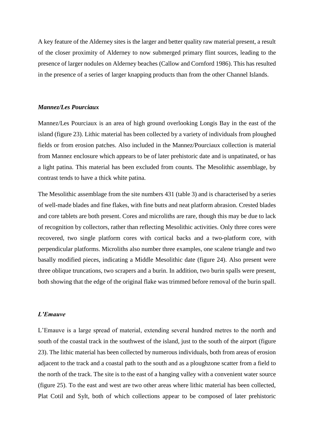A key feature of the Alderney sites is the larger and better quality raw material present, a result of the closer proximity of Alderney to now submerged primary flint sources, leading to the presence of larger nodules on Alderney beaches (Callow and Cornford 1986). This has resulted in the presence of a series of larger knapping products than from the other Channel Islands.

# *Mannez/Les Pourciaux*

Mannez/Les Pourciaux is an area of high ground overlooking Longis Bay in the east of the island (figure 23). Lithic material has been collected by a variety of individuals from ploughed fields or from erosion patches. Also included in the Mannez/Pourciaux collection is material from Mannez enclosure which appears to be of later prehistoric date and is unpatinated, or has a light patina. This material has been excluded from counts. The Mesolithic assemblage, by contrast tends to have a thick white patina.

The Mesolithic assemblage from the site numbers 431 (table 3) and is characterised by a series of well-made blades and fine flakes, with fine butts and neat platform abrasion. Crested blades and core tablets are both present. Cores and microliths are rare, though this may be due to lack of recognition by collectors, rather than reflecting Mesolithic activities. Only three cores were recovered, two single platform cores with cortical backs and a two-platform core, with perpendicular platforms. Microliths also number three examples, one scalene triangle and two basally modified pieces, indicating a Middle Mesolithic date (figure 24). Also present were three oblique truncations, two scrapers and a burin. In addition, two burin spalls were present, both showing that the edge of the original flake was trimmed before removal of the burin spall.

### *L'Emauve*

L'Emauve is a large spread of material, extending several hundred metres to the north and south of the coastal track in the southwest of the island, just to the south of the airport (figure 23). The lithic material has been collected by numerous individuals, both from areas of erosion adjacent to the track and a coastal path to the south and as a ploughzone scatter from a field to the north of the track. The site is to the east of a hanging valley with a convenient water source (figure 25). To the east and west are two other areas where lithic material has been collected, Plat Cotil and Sylt, both of which collections appear to be composed of later prehistoric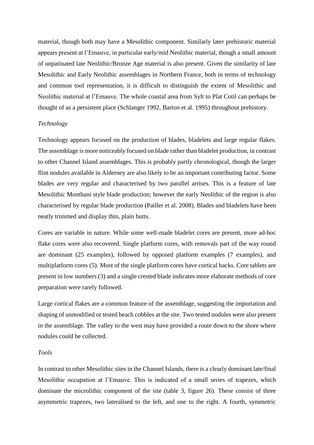material, though both may have a Mesolithic component. Similarly later prehistoric material appears present at l'Emauve, in particular early/mid Neolithic material, though a small amount of unpatinated late Neolithic/Bronze Age material is also present. Given the similarity of late Mesolithic and Early Neolithic assemblages in Northern France, both in terms of technology and common tool representation, it is difficult to distinguish the extent of Mesolithic and Neolithic material at l'Emauve. The whole coastal area from Sylt to Plat Cotil can perhaps be thought of as a persistent place (Schlanger 1992, Barton et al. 1995) throughout prehistory.

# *Technology*

Technology appears focused on the production of blades, bladelets and large regular flakes. The assemblage is more noticeably focused on blade rather than bladelet production, in contrast to other Channel Island assemblages. This is probably partly chronological, though the larger flint nodules available in Alderney are also likely to be an important contributing factor. Some blades are very regular and characterised by two parallel arrises. This is a feature of late Mesolithic Montbani style blade production; however the early Neolithic of the region is also characterised by regular blade production (Pailler et al. 2008). Blades and bladelets have been neatly trimmed and display thin, plain butts.

Cores are variable in nature. While some well-made bladelet cores are present, more ad-hoc flake cores were also recovered. Single platform cores, with removals part of the way round are dominant (25 examples), followed by opposed platform examples (7 examples), and multiplatform cores (5). Most of the single platform cores have cortical backs. Core tablets are present in low numbers (3) and a single crested blade indicates more elaborate methods of core preparation were rarely followed.

Large cortical flakes are a common feature of the assemblage, suggesting the importation and shaping of unmodified or tested beach cobbles at the site. Two tested nodules were also present in the assemblage. The valley to the west may have provided a route down to the shore where nodules could be collected.

### *Tools*

In contrast to other Mesolithic sites in the Channel Islands, there is a clearly dominant late/final Mesolithic occupation at l'Emauve. This is indicated of a small series of trapezes, which dominate the microlithic component of the site (table 3, figure 26). These consist of three asymmetric trapezes, two lateralised to the left, and one to the right. A fourth, symmetric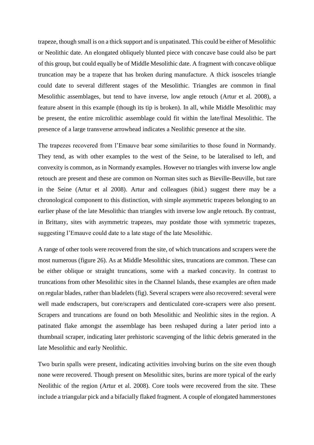trapeze, though small is on a thick support and is unpatinated. This could be either of Mesolithic or Neolithic date. An elongated obliquely blunted piece with concave base could also be part of this group, but could equally be of Middle Mesolithic date. A fragment with concave oblique truncation may be a trapeze that has broken during manufacture. A thick isosceles triangle could date to several different stages of the Mesolithic. Triangles are common in final Mesolithic assemblages, but tend to have inverse, low angle retouch (Artur et al. 2008), a feature absent in this example (though its tip is broken). In all, while Middle Mesolithic may be present, the entire microlithic assemblage could fit within the late/final Mesolithic. The presence of a large transverse arrowhead indicates a Neolithic presence at the site.

The trapezes recovered from l'Emauve bear some similarities to those found in Normandy. They tend, as with other examples to the west of the Seine, to be lateralised to left, and convexity is common, as in Normandy examples. However no triangles with inverse low angle retouch are present and these are common on Norman sites such as Bieville-Beuville, but rare in the Seine (Artur et al 2008). Artur and colleagues (ibid.) suggest there may be a chronological component to this distinction, with simple asymmetric trapezes belonging to an earlier phase of the late Mesolithic than triangles with inverse low angle retouch. By contrast, in Brittany, sites with asymmetric trapezes, may postdate those with symmetric trapezes, suggesting l'Emauve could date to a late stage of the late Mesolithic.

A range of other tools were recovered from the site, of which truncations and scrapers were the most numerous (figure 26). As at Middle Mesolithic sites, truncations are common. These can be either oblique or straight truncations, some with a marked concavity. In contrast to truncations from other Mesolithic sites in the Channel Islands, these examples are often made on regular blades, rather than bladelets (fig). Several scrapers were also recovered: several were well made endscrapers, but core/scrapers and denticulated core-scrapers were also present. Scrapers and truncations are found on both Mesolithic and Neolithic sites in the region. A patinated flake amongst the assemblage has been reshaped during a later period into a thumbnail scraper, indicating later prehistoric scavenging of the lithic debris generated in the late Mesolithic and early Neolithic.

Two burin spalls were present, indicating activities involving burins on the site even though none were recovered. Though present on Mesolithic sites, burins are more typical of the early Neolithic of the region (Artur et al. 2008). Core tools were recovered from the site. These include a triangular pick and a bifacially flaked fragment. A couple of elongated hammerstones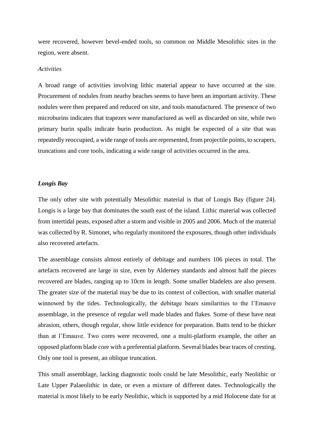were recovered, however bevel-ended tools, so common on Middle Mesolithic sites in the region, were absent.

## *Activities*

A broad range of activities involving lithic material appear to have occurred at the site. Procurement of nodules from nearby beaches seems to have been an important activity. These nodules were then prepared and reduced on site, and tools manufactured. The presence of two microburins indicates that trapezes were manufactured as well as discarded on site, while two primary burin spalls indicate burin production. As might be expected of a site that was repeatedly reoccupied, a wide range of tools are represented, from projectile points, to scrapers, truncations and core tools, indicating a wide range of activities occurred in the area.

## *Longis Bay*

The only other site with potentially Mesolithic material is that of Longis Bay (figure 24). Longis is a large bay that dominates the south east of the island. Lithic material was collected from intertidal peats, exposed after a storm and visible in 2005 and 2006. Much of the material was collected by R. Simonet, who regularly monitored the exposures, though other individuals also recovered artefacts.

The assemblage consists almost entirely of debitage and numbers 106 pieces in total. The artefacts recovered are large in size, even by Alderney standards and almost half the pieces recovered are blades, ranging up to 10cm in length. Some smaller bladelets are also present. The greater size of the material may be due to its context of collection, with smaller material winnowed by the tides. Technologically, the debitage bears similarities to the l'Emauve assemblage, in the presence of regular well made blades and flakes. Some of these have neat abrasion, others, though regular, show little evidence for preparation. Butts tend to be thicker than at l'Emauve. Two cores were recovered, one a multi-platform example, the other an opposed platform blade core with a preferential platform. Several blades bear traces of cresting. Only one tool is present, an oblique truncation.

This small assemblage, lacking diagnostic tools could be late Mesolithic, early Neolithic or Late Upper Palaeolithic in date, or even a mixture of different dates. Technologically the material is most likely to be early Neolithic, which is supported by a mid Holocene date for at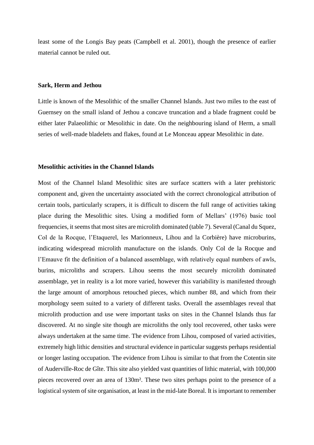least some of the Longis Bay peats (Campbell et al. 2001), though the presence of earlier material cannot be ruled out.

### **Sark, Herm and Jethou**

Little is known of the Mesolithic of the smaller Channel Islands. Just two miles to the east of Guernsey on the small island of Jethou a concave truncation and a blade fragment could be either later Palaeolithic or Mesolithic in date. On the neighbouring island of Herm, a small series of well-made bladelets and flakes, found at Le Monceau appear Mesolithic in date.

## **Mesolithic activities in the Channel Islands**

Most of the Channel Island Mesolithic sites are surface scatters with a later prehistoric component and, given the uncertainty associated with the correct chronological attribution of certain tools, particularly scrapers, it is difficult to discern the full range of activities taking place during the Mesolithic sites. Using a modified form of Mellars' (1976) basic tool frequencies, it seems that most sites are microlith dominated (table 7). Several (Canal du Squez, Col de la Rocque, l'Etaquerel, les Marionneux, Lihou and la Corbière) have microburins, indicating widespread microlith manufacture on the islands. Only Col de la Rocque and l'Emauve fit the definition of a balanced assemblage, with relatively equal numbers of awls, burins, microliths and scrapers. Lihou seems the most securely microlith dominated assemblage, yet in reality is a lot more varied, however this variability is manifested through the large amount of amorphous retouched pieces, which number 88, and which from their morphology seem suited to a variety of different tasks. Overall the assemblages reveal that microlith production and use were important tasks on sites in the Channel Islands thus far discovered. At no single site though are microliths the only tool recovered, other tasks were always undertaken at the same time. The evidence from Lihou, composed of varied activities, extremely high lithic densities and structural evidence in particular suggests perhaps residential or longer lasting occupation. The evidence from Lihou is similar to that from the Cotentin site of Auderville-Roc de Gîte. This site also yielded vast quantities of lithic material, with 100,000 pieces recovered over an area of 130m². These two sites perhaps point to the presence of a logistical system of site organisation, at least in the mid-late Boreal. It is important to remember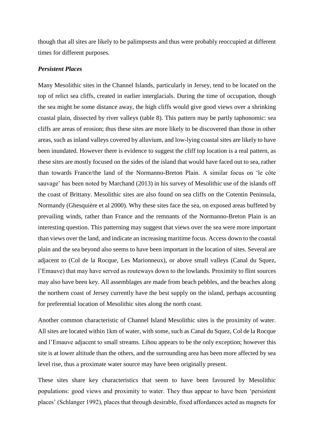though that all sites are likely to be palimpsests and thus were probably reoccupied at different times for different purposes.

## *Persistent Places*

Many Mesolithic sites in the Channel Islands, particularly in Jersey, tend to be located on the top of relict sea cliffs, created in earlier interglacials. During the time of occupation, though the sea might be some distance away, the high cliffs would give good views over a shrinking coastal plain, dissected by river valleys (table 8). This pattern may be partly taphonomic: sea cliffs are areas of erosion; thus these sites are more likely to be discovered than those in other areas, such as inland valleys covered by alluvium, and low-lying coastal sites are likely to have been inundated. However there is evidence to suggest the cliff top location is a real pattern, as these sites are mostly focused on the sides of the island that would have faced out to sea, rather than towards France/the land of the Normanno-Breton Plain. A similar focus on 'le côte sauvage' has been noted by Marchand (2013) in his survey of Mesolithic use of the islands off the coast of Brittany. Mesolithic sites are also found on sea cliffs on the Cotentin Peninsula, Normandy (Ghesquière et al 2000). Why these sites face the sea, on exposed areas buffeted by prevailing winds, rather than France and the remnants of the Normanno-Breton Plain is an interesting question. This patterning may suggest that views over the sea were more important than views over the land, and indicate an increasing maritime focus. Access down to the coastal plain and the sea beyond also seems to have been important in the location of sites. Several are adjacent to (Col de la Rocque, Les Marionneux), or above small valleys (Canal du Squez, l'Emauve) that may have served as routeways down to the lowlands. Proximity to flint sources may also have been key. All assemblages are made from beach pebbles, and the beaches along the northern coast of Jersey currently have the best supply on the island, perhaps accounting for preferential location of Mesolithic sites along the north coast.

Another common characteristic of Channel Island Mesolithic sites is the proximity of water. All sites are located within 1km of water, with some, such as Canal du Squez, Col de la Rocque and l'Emauve adjacent to small streams. Lihou appears to be the only exception; however this site is at lower altitude than the others, and the surrounding area has been more affected by sea level rise, thus a proximate water source may have been originally present.

These sites share key characteristics that seem to have been favoured by Mesolithic populations: good views and proximity to water. They thus appear to have been 'persistent places' (Schlanger 1992), places that through desirable, fixed affordances acted as magnets for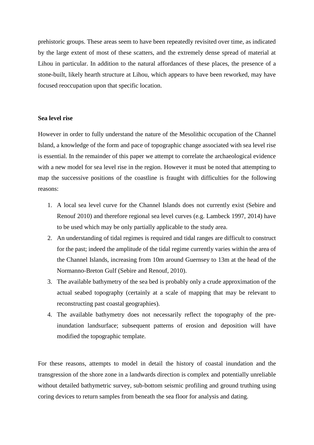prehistoric groups. These areas seem to have been repeatedly revisited over time, as indicated by the large extent of most of these scatters, and the extremely dense spread of material at Lihou in particular. In addition to the natural affordances of these places, the presence of a stone-built, likely hearth structure at Lihou, which appears to have been reworked, may have focused reoccupation upon that specific location.

### **Sea level rise**

However in order to fully understand the nature of the Mesolithic occupation of the Channel Island, a knowledge of the form and pace of topographic change associated with sea level rise is essential. In the remainder of this paper we attempt to correlate the archaeological evidence with a new model for sea level rise in the region. However it must be noted that attempting to map the successive positions of the coastline is fraught with difficulties for the following reasons:

- 1. A local sea level curve for the Channel Islands does not currently exist (Sebire and Renouf 2010) and therefore regional sea level curves (e.g. Lambeck 1997, 2014) have to be used which may be only partially applicable to the study area.
- 2. An understanding of tidal regimes is required and tidal ranges are difficult to construct for the past; indeed the amplitude of the tidal regime currently varies within the area of the Channel Islands, increasing from 10m around Guernsey to 13m at the head of the Normanno-Breton Gulf (Sebire and Renouf, 2010).
- 3. The available bathymetry of the sea bed is probably only a crude approximation of the actual seabed topography (certainly at a scale of mapping that may be relevant to reconstructing past coastal geographies).
- 4. The available bathymetry does not necessarily reflect the topography of the preinundation landsurface; subsequent patterns of erosion and deposition will have modified the topographic template.

For these reasons, attempts to model in detail the history of coastal inundation and the transgression of the shore zone in a landwards direction is complex and potentially unreliable without detailed bathymetric survey, sub-bottom seismic profiling and ground truthing using coring devices to return samples from beneath the sea floor for analysis and dating.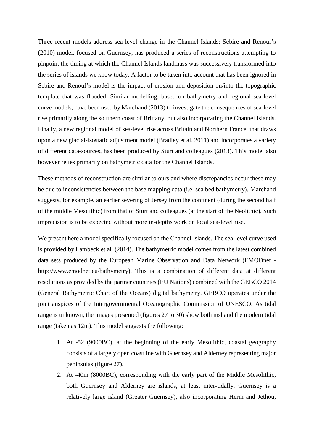Three recent models address sea-level change in the Channel Islands: Sebire and Renouf's (2010) model, focused on Guernsey, has produced a series of reconstructions attempting to pinpoint the timing at which the Channel Islands landmass was successively transformed into the series of islands we know today. A factor to be taken into account that has been ignored in Sebire and Renouf's model is the impact of erosion and deposition on/into the topographic template that was flooded. Similar modelling, based on bathymetry and regional sea-level curve models, have been used by Marchand (2013) to investigate the consequences of sea-level rise primarily along the southern coast of Brittany, but also incorporating the Channel Islands. Finally, a new regional model of sea-level rise across Britain and Northern France, that draws upon a new glacial-isostatic adjustment model (Bradley et al. 2011) and incorporates a variety of different data-sources, has been produced by Sturt and colleagues (2013). This model also however relies primarily on bathymetric data for the Channel Islands.

These methods of reconstruction are similar to ours and where discrepancies occur these may be due to inconsistencies between the base mapping data (i.e. sea bed bathymetry). Marchand suggests, for example, an earlier severing of Jersey from the continent (during the second half of the middle Mesolithic) from that of Sturt and colleagues (at the start of the Neolithic). Such imprecision is to be expected without more in-depths work on local sea-level rise.

We present here a model specifically focused on the Channel Islands. The sea-level curve used is provided by Lambeck et al. (2014). The bathymetric model comes from the latest combined data sets produced by the European Marine Observation and Data Network (EMODnet [http://www.emodnet.eu/bathymetry\)](https://outlook.manchester.ac.uk/owa/redir.aspx?SURL=GAUpA5R8TRBVYWM1rWu6gfO7I6KHF3iXxkE9fq_esdbOF-ftB4LSCGgAdAB0AHAAOgAvAC8AdwB3AHcALgBlAG0AbwBkAG4AZQB0AC4AZQB1AC8AYgBhAHQAaAB5AG0AZQB0AHIAeQA.&URL=http%3a%2f%2fwww.emodnet.eu%2fbathymetry). This is a combination of different data at different resolutions as provided by the partner countries (EU Nations) combined with the GEBCO 2014 (General Bathymetric Chart of the Oceans) digital bathymetry. GEBCO operates under the joint auspices of the Intergovernmental Oceanographic Commission of UNESCO. As tidal range is unknown, the images presented (figures 27 to 30) show both msl and the modern tidal range (taken as 12m). This model suggests the following:

- 1. At -52 (9000BC), at the beginning of the early Mesolithic, coastal geography consists of a largely open coastline with Guernsey and Alderney representing major peninsulas (figure 27).
- 2. At -40m (8000BC), corresponding with the early part of the Middle Mesolithic, both Guernsey and Alderney are islands, at least inter-tidally. Guernsey is a relatively large island (Greater Guernsey), also incorporating Herm and Jethou,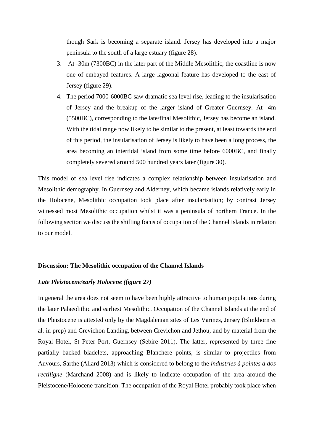though Sark is becoming a separate island. Jersey has developed into a major peninsula to the south of a large estuary (figure 28).

- 3. At -30m (7300BC) in the later part of the Middle Mesolithic, the coastline is now one of embayed features. A large lagoonal feature has developed to the east of Jersey (figure 29).
- 4. The period 7000-6000BC saw dramatic sea level rise, leading to the insularisation of Jersey and the breakup of the larger island of Greater Guernsey. At -4m (5500BC), corresponding to the late/final Mesolithic, Jersey has become an island. With the tidal range now likely to be similar to the present, at least towards the end of this period, the insularisation of Jersey is likely to have been a long process, the area becoming an intertidal island from some time before 6000BC, and finally completely severed around 500 hundred years later (figure 30).

This model of sea level rise indicates a complex relationship between insularisation and Mesolithic demography. In Guernsey and Alderney, which became islands relatively early in the Holocene, Mesolithic occupation took place after insularisation; by contrast Jersey witnessed most Mesolithic occupation whilst it was a peninsula of northern France. In the following section we discuss the shifting focus of occupation of the Channel Islands in relation to our model.

#### **Discussion: The Mesolithic occupation of the Channel Islands**

## *Late Pleistocene/early Holocene (figure 27)*

In general the area does not seem to have been highly attractive to human populations during the later Palaeolithic and earliest Mesolithic. Occupation of the Channel Islands at the end of the Pleistocene is attested only by the Magdalenian sites of Les Varines, Jersey (Blinkhorn et al. in prep) and Crevichon Landing, between Crevichon and Jethou, and by material from the Royal Hotel, St Peter Port, Guernsey (Sebire 2011). The latter, represented by three fine partially backed bladelets, approaching Blanchere points, is similar to projectiles from Auvours, Sarthe (Allard 2013) which is considered to belong to the *industries à pointes à dos rectiligne* (Marchand 2008) and is likely to indicate occupation of the area around the Pleistocene/Holocene transition. The occupation of the Royal Hotel probably took place when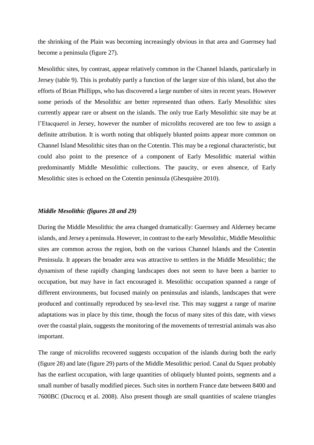the shrinking of the Plain was becoming increasingly obvious in that area and Guernsey had become a peninsula (figure 27).

Mesolithic sites, by contrast, appear relatively common in the Channel Islands, particularly in Jersey (table 9). This is probably partly a function of the larger size of this island, but also the efforts of Brian Phillipps, who has discovered a large number of sites in recent years. However some periods of the Mesolithic are better represented than others. Early Mesolithic sites currently appear rare or absent on the islands. The only true Early Mesolithic site may be at l'Etacquerel in Jersey, however the number of microliths recovered are too few to assign a definite attribution. It is worth noting that obliquely blunted points appear more common on Channel Island Mesolithic sites than on the Cotentin. This may be a regional characteristic, but could also point to the presence of a component of Early Mesolithic material within predominantly Middle Mesolithic collections. The paucity, or even absence, of Early Mesolithic sites is echoed on the Cotentin peninsula (Ghesquière 2010).

# *Middle Mesolithic (figures 28 and 29)*

During the Middle Mesolithic the area changed dramatically: Guernsey and Alderney became islands, and Jersey a peninsula. However, in contrast to the early Mesolithic, Middle Mesolithic sites are common across the region, both on the various Channel Islands and the Cotentin Peninsula. It appears the broader area was attractive to settlers in the Middle Mesolithic; the dynamism of these rapidly changing landscapes does not seem to have been a barrier to occupation, but may have in fact encouraged it. Mesolithic occupation spanned a range of different environments, but focused mainly on peninsulas and islands, landscapes that were produced and continually reproduced by sea-level rise. This may suggest a range of marine adaptations was in place by this time, though the focus of many sites of this date, with views over the coastal plain, suggests the monitoring of the movements of terrestrial animals was also important.

The range of microliths recovered suggests occupation of the islands during both the early (figure 28) and late (figure 29) parts of the Middle Mesolithic period. Canal du Squez probably has the earliest occupation, with large quantities of obliquely blunted points, segments and a small number of basally modified pieces. Such sites in northern France date between 8400 and 7600BC (Ducrocq et al. 2008). Also present though are small quantities of scalene triangles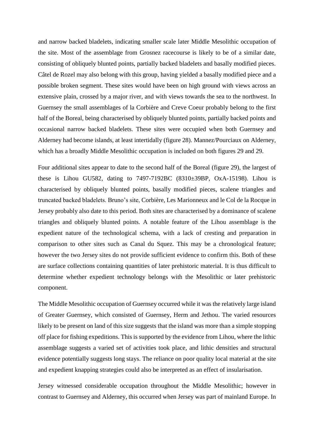and narrow backed bladelets, indicating smaller scale later Middle Mesolithic occupation of the site. Most of the assemblage from Grosnez racecourse is likely to be of a similar date, consisting of obliquely blunted points, partially backed bladelets and basally modified pieces. Câtel de Rozel may also belong with this group, having yielded a basally modified piece and a possible broken segment. These sites would have been on high ground with views across an extensive plain, crossed by a major river, and with views towards the sea to the northwest. In Guernsey the small assemblages of la Corbière and Creve Coeur probably belong to the first half of the Boreal, being characterised by obliquely blunted points, partially backed points and occasional narrow backed bladelets. These sites were occupied when both Guernsey and Alderney had become islands, at least intertidally (figure 28). Mannez/Pourciaux on Alderney, which has a broadly Middle Mesolithic occupation is included on both figures 29 and 29.

Four additional sites appear to date to the second half of the Boreal (figure 29), the largest of these is Lihou GU582, dating to 7497-7192BC (8310±39BP, OxA-15198). Lihou is characterised by obliquely blunted points, basally modified pieces, scalene triangles and truncated backed bladelets. Bruno's site, Corbière, Les Marionneux and le Col de la Rocque in Jersey probably also date to this period. Both sites are characterised by a dominance of scalene triangles and obliquely blunted points. A notable feature of the Lihou assemblage is the expedient nature of the technological schema, with a lack of cresting and preparation in comparison to other sites such as Canal du Squez. This may be a chronological feature; however the two Jersey sites do not provide sufficient evidence to confirm this. Both of these are surface collections containing quantities of later prehistoric material. It is thus difficult to determine whether expedient technology belongs with the Mesolithic or later prehistoric component.

The Middle Mesolithic occupation of Guernsey occurred while it was the relatively large island of Greater Guernsey, which consisted of Guernsey, Herm and Jethou. The varied resources likely to be present on land of this size suggests that the island was more than a simple stopping off place for fishing expeditions. This is supported by the evidence from Lihou, where the lithic assemblage suggests a varied set of activities took place, and lithic densities and structural evidence potentially suggests long stays. The reliance on poor quality local material at the site and expedient knapping strategies could also be interpreted as an effect of insularisation.

Jersey witnessed considerable occupation throughout the Middle Mesolithic; however in contrast to Guernsey and Alderney, this occurred when Jersey was part of mainland Europe. In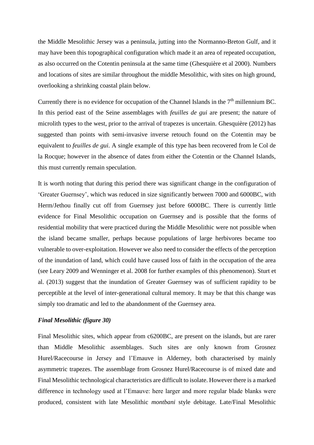the Middle Mesolithic Jersey was a peninsula, jutting into the Normanno-Breton Gulf, and it may have been this topographical configuration which made it an area of repeated occupation, as also occurred on the Cotentin peninsula at the same time (Ghesquière et al 2000). Numbers and locations of sites are similar throughout the middle Mesolithic, with sites on high ground, overlooking a shrinking coastal plain below.

Currently there is no evidence for occupation of the Channel Islands in the  $7<sup>th</sup>$  millennium BC. In this period east of the Seine assemblages with *feuilles de gui* are present; the nature of microlith types to the west, prior to the arrival of trapezes is uncertain. Ghesquière (2012) has suggested than points with semi-invasive inverse retouch found on the Cotentin may be equivalent to *feuilles de gui.* A single example of this type has been recovered from le Col de la Rocque; however in the absence of dates from either the Cotentin or the Channel Islands, this must currently remain speculation.

It is worth noting that during this period there was significant change in the configuration of 'Greater Guernsey', which was reduced in size significantly between 7000 and 6000BC, with Herm/Jethou finally cut off from Guernsey just before 6000BC. There is currently little evidence for Final Mesolithic occupation on Guernsey and is possible that the forms of residential mobility that were practiced during the Middle Mesolithic were not possible when the island became smaller, perhaps because populations of large herbivores became too vulnerable to over-exploitation. However we also need to consider the effects of the perception of the inundation of land, which could have caused loss of faith in the occupation of the area (see Leary 2009 and Wenninger et al. 2008 for further examples of this phenomenon). Sturt et al. (2013) suggest that the inundation of Greater Guernsey was of sufficient rapidity to be perceptible at the level of inter-generational cultural memory. It may be that this change was simply too dramatic and led to the abandonment of the Guernsey area.

## *Final Mesolithic (figure 30)*

Final Mesolithic sites, which appear from c6200BC, are present on the islands, but are rarer than Middle Mesolithic assemblages. Such sites are only known from Grosnez Hurel/Racecourse in Jersey and l'Emauve in Alderney, both characterised by mainly asymmetric trapezes. The assemblage from Grosnez Hurel/Racecourse is of mixed date and Final Mesolithic technological characteristics are difficult to isolate. However there is a marked difference in technology used at l'Emauve: here larger and more regular blade blanks were produced, consistent with late Mesolithic *montbani* style debitage. Late/Final Mesolithic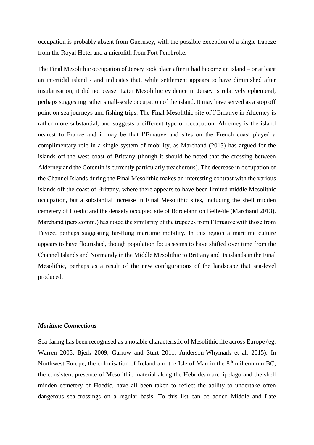occupation is probably absent from Guernsey, with the possible exception of a single trapeze from the Royal Hotel and a microlith from Fort Pembroke.

The Final Mesolithic occupation of Jersey took place after it had become an island – or at least an intertidal island - and indicates that, while settlement appears to have diminished after insularisation, it did not cease. Later Mesolithic evidence in Jersey is relatively ephemeral, perhaps suggesting rather small-scale occupation of the island. It may have served as a stop off point on sea journeys and fishing trips. The Final Mesolithic site of l'Emauve in Alderney is rather more substantial, and suggests a different type of occupation. Alderney is the island nearest to France and it may be that l'Emauve and sites on the French coast played a complimentary role in a single system of mobility, as Marchand (2013) has argued for the islands off the west coast of Brittany (though it should be noted that the crossing between Alderney and the Cotentin is currently particularly treacherous). The decrease in occupation of the Channel Islands during the Final Mesolithic makes an interesting contrast with the various islands off the coast of Brittany, where there appears to have been limited middle Mesolithic occupation, but a substantial increase in Final Mesolithic sites, including the shell midden cemetery of Hoëdic and the densely occupied site of Bordelann on Belle-île (Marchand 2013). Marchand (pers.comm.) has noted the similarity of the trapezes from l'Emauve with those from Teviec, perhaps suggesting far-flung maritime mobility. In this region a maritime culture appears to have flourished, though population focus seems to have shifted over time from the Channel Islands and Normandy in the Middle Mesolithic to Brittany and its islands in the Final Mesolithic, perhaps as a result of the new configurations of the landscape that sea-level produced.

## *Maritime Connections*

Sea-faring has been recognised as a notable characteristic of Mesolithic life across Europe (eg. Warren 2005, Bjerk 2009, Garrow and Sturt 2011, Anderson-Whymark et al. 2015). In Northwest Europe, the colonisation of Ireland and the Isle of Man in the 8<sup>th</sup> millennium BC, the consistent presence of Mesolithic material along the Hebridean archipelago and the shell midden cemetery of Hoedic, have all been taken to reflect the ability to undertake often dangerous sea-crossings on a regular basis. To this list can be added Middle and Late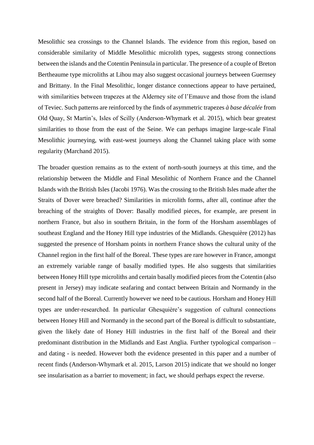Mesolithic sea crossings to the Channel Islands. The evidence from this region, based on considerable similarity of Middle Mesolithic microlith types, suggests strong connections between the islands and the Cotentin Peninsula in particular. The presence of a couple of Breton Bertheaume type microliths at Lihou may also suggest occasional journeys between Guernsey and Brittany. In the Final Mesolithic, longer distance connections appear to have pertained, with similarities between trapezes at the Alderney site of l'Emauve and those from the island of Teviec. Such patterns are reinforced by the finds of asymmetric trapezes *à base décalée* from Old Quay, St Martin's, Isles of Scilly (Anderson-Whymark et al. 2015), which bear greatest similarities to those from the east of the Seine. We can perhaps imagine large-scale Final Mesolithic journeying, with east-west journeys along the Channel taking place with some regularity (Marchand 2015).

The broader question remains as to the extent of north-south journeys at this time, and the relationship between the Middle and Final Mesolithic of Northern France and the Channel Islands with the British Isles (Jacobi 1976). Was the crossing to the British Isles made after the Straits of Dover were breached? Similarities in microlith forms, after all, continue after the breaching of the straights of Dover: Basally modified pieces, for example, are present in northern France, but also in southern Britain, in the form of the Horsham assemblages of southeast England and the Honey Hill type industries of the Midlands. Ghesquière (2012) has suggested the presence of Horsham points in northern France shows the cultural unity of the Channel region in the first half of the Boreal. These types are rare however in France, amongst an extremely variable range of basally modified types. He also suggests that similarities between Honey Hill type microliths and certain basally modified pieces from the Cotentin (also present in Jersey) may indicate seafaring and contact between Britain and Normandy in the second half of the Boreal. Currently however we need to be cautious. Horsham and Honey Hill types are under-researched. In particular Ghesquière's suggestion of cultural connections between Honey Hill and Normandy in the second part of the Boreal is difficult to substantiate, given the likely date of Honey Hill industries in the first half of the Boreal and their predominant distribution in the Midlands and East Anglia. Further typological comparison – and dating - is needed. However both the evidence presented in this paper and a number of recent finds (Anderson-Whymark et al. 2015, Larson 2015) indicate that we should no longer see insularisation as a barrier to movement; in fact, we should perhaps expect the reverse.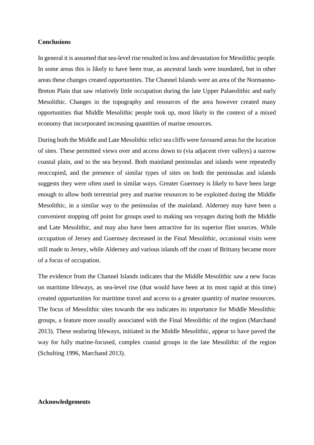## **Conclusions**

In general it is assumed that sea-level rise resulted in loss and devastation for Mesolithic people. In some areas this is likely to have been true, as ancestral lands were inundated, but in other areas these changes created opportunities. The Channel Islands were an area of the Normanno-Breton Plain that saw relatively little occupation during the late Upper Palaeolithic and early Mesolithic. Changes in the topography and resources of the area however created many opportunities that Middle Mesolithic people took up, most likely in the context of a mixed economy that incorporated increasing quantities of marine resources.

During both the Middle and Late Mesolithic relict sea cliffs were favoured areas for the location of sites. These permitted views over and access down to (via adjacent river valleys) a narrow coastal plain, and to the sea beyond. Both mainland peninsulas and islands were repeatedly reoccupied, and the presence of similar types of sites on both the peninsulas and islands suggests they were often used in similar ways. Greater Guernsey is likely to have been large enough to allow both terrestrial prey and marine resources to be exploited during the Middle Mesolithic, in a similar way to the peninsulas of the mainland. Alderney may have been a convenient stopping off point for groups used to making sea voyages during both the Middle and Late Mesolithic, and may also have been attractive for its superior flint sources. While occupation of Jersey and Guernsey decreased in the Final Mesolithic, occasional visits were still made to Jersey, while Alderney and various islands off the coast of Brittany became more of a focus of occupation.

The evidence from the Channel Islands indicates that the Middle Mesolithic saw a new focus on maritime lifeways, as sea-level rise (that would have been at its most rapid at this time) created opportunities for maritime travel and access to a greater quantity of marine resources. The focus of Mesolithic sites towards the sea indicates its importance for Middle Mesolithic groups, a feature more usually associated with the Final Mesolithic of the region (Marchand 2013). These seafaring lifeways, initiated in the Middle Mesolithic, appear to have paved the way for fully marine-focused, complex coastal groups in the late Mesolithic of the region (Schulting 1996, Marchand 2013).

## **Acknowledgements**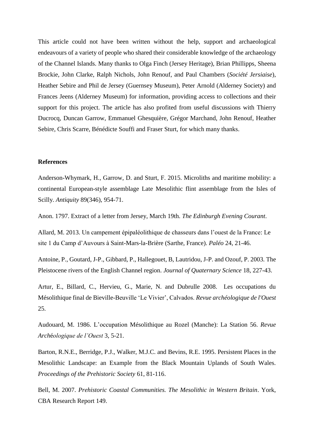This article could not have been written without the help, support and archaeological endeavours of a variety of people who shared their considerable knowledge of the archaeology of the Channel Islands. Many thanks to Olga Finch (Jersey Heritage), Brian Phillipps, Sheena Brockie, John Clarke, Ralph Nichols, John Renouf, and Paul Chambers (*Société Jersiaise*), Heather Sebire and Phil de Jersey (Guernsey Museum), Peter Arnold (Alderney Society) and Frances Jeens (Alderney Museum) for information, providing access to collections and their support for this project. The article has also profited from useful discussions with Thierry Ducrocq, Duncan Garrow, Emmanuel Ghesquière, Grégor Marchand, John Renouf, Heather Sebire, Chris Scarre, Bénédicte Souffi and Fraser Sturt, for which many thanks.

## **References**

Anderson-Whymark, H., Garrow, D. and Sturt, F. 2015. Microliths and maritime mobility: a continental European-style assemblage Late Mesolithic flint assemblage from the Isles of Scilly. *Antiquity* 89(346), 954-71.

Anon. 1797. Extract of a letter from Jersey, March 19th. *The Edinburgh Evening Courant*.

Allard, M. 2013. [Un campement épipaléolithique de chasseurs dans l'ouest de la France:](http://paleo.revues.org/2516) Le site 1 du Camp d'Auvours à Saint-Mars-la-Brière (Sarthe, France). *Paléo* [24,](http://paleo.revues.org/2510) 21-46.

Antoine, P., Goutard, J-P., Gibbard, P., Hallegouet, B, Lautridou, J-P. and Ozouf, P. 2003. The Pleistocene rivers of the English Channel region. *Journal of Quaternary Science* 18, 227-43.

Artur, E., Billard, C., Hervieu, G., Marie, N. and Dubrulle 2008. Les occupations du Mésolithique final de Bieville-Beuville 'Le Vivier', Calvados. *Revue archéologique de l'Ouest*  25.

Audouard, M. 1986. L'occupation Mésolithique au Rozel (Manche): La Station 56. *Revue Arch*é*ologique de l'Ouest* 3, 5-21.

Barton, R.N.E., Berridge, P.J., Walker, M.J.C. and Bevins, R.E. 1995. Persistent Places in the Mesolithic Landscape: an Example from the Black Mountain Uplands of South Wales. *Proceedings of the Prehistoric Society* 61, 81-116.

Bell, M. 2007. *Prehistoric Coastal Communities. The Mesolithic in Western Britain*. York, CBA Research Report 149.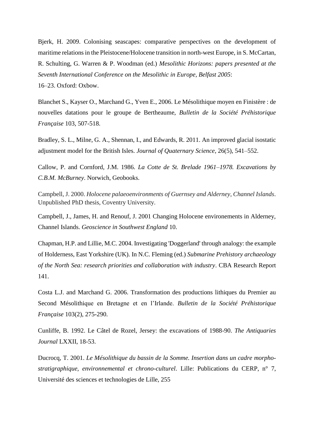Bjerk, H. 2009. Colonising seascapes: comparative perspectives on the development of maritime relations in the Pleistocene/Holocene transition in north-west Europe, in S. McCartan, R. Schulting, G. Warren & P. Woodman (ed.) *Mesolithic Horizons: papers presented at the Seventh International Conference on the Mesolithic in Europe, Belfast 2005*: 16–23. Oxford: Oxbow.

Blanchet S., Kayser O., Marchand G., Yven E., 2006. Le Mésolithique moyen en Finistère : de nouvelles datations pour le groupe de Bertheaume, *Bulletin de la Société Préhistorique Française* 103, 507-518.

Bradley, S. L., Milne, G. A., Shennan, I., and Edwards, R. 2011. An improved glacial isostatic adjustment model for the British Isles. *Journal of Quaternary Science*, 26(5), 541–552.

Callow, P. and Cornford, J.M. 1986. *La Cotte de St. Brelade 1961–1978. Excavations by C.B.M. McBurney*. Norwich, Geobooks.

Campbell, J. 2000. *Holocene palaeoenvironments of Guernsey and Alderney, Channel Islands*. Unpublished PhD thesis, Coventry University.

Campbell, J., James, H. and Renouf, J. 2001 Changing Holocene environements in Alderney, Channel Islands. *Geoscience in Southwest England* 10.

Chapman, H.P. and Lillie, M.C. 2004. Investigating 'Doggerland' through analogy: the example of Holderness, East Yorkshire (UK). In N.C. Fleming (ed.) *Submarine Prehistory archaeology of the North Sea: research priorities and collaboration with industry*. CBA Research Report 141.

Costa L.J. and Marchand G. 2006. Transformation des productions lithiques du Premier au Second Mésolithique en Bretagne et en l'Irlande. *Bulletin de la Société Préhistorique Française* 103(2), 275-290.

Cunliffe, B. 1992. Le Câtel de Rozel, Jersey: the excavations of 1988-90. *The Antiquaries Journal* LXXII, 18-53.

Ducrocq, T. 2001. *Le Mésolithique du bassin de la Somme. Insertion dans un cadre morphostratigraphique, environnemental et chrono-culturel*. Lille: Publications du CERP, n° 7, Université des sciences et technologies de Lille, 255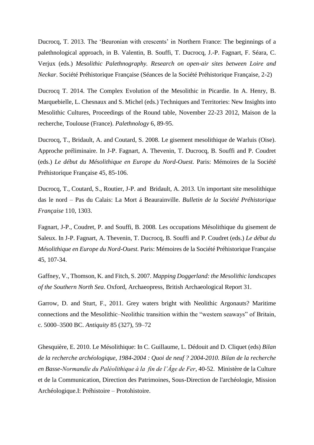Ducrocq, T. 2013. [The 'Beuronian with crescents' in](https://www.academia.edu/7090332/Ducrocq_2013_-_The_Beuronian_with_crescents_in_Northern_France_The_beginnings_of_a_palethnological_approach_in_Mesolithic_Palethnography._Research_on_open-air_sites_between_Loire_and_Neckar._Societe_Prehistorique_Francaise_Seances_de_la_Societe_Prehistorique_Francaise_2-2_) Northern France: The beginnings of a [palethnological approach, in B. Valentin, B.](https://www.academia.edu/7090332/Ducrocq_2013_-_The_Beuronian_with_crescents_in_Northern_France_The_beginnings_of_a_palethnological_approach_in_Mesolithic_Palethnography._Research_on_open-air_sites_between_Loire_and_Neckar._Societe_Prehistorique_Francaise_Seances_de_la_Societe_Prehistorique_Francaise_2-2_) Souffi, T. Ducrocq, J.-P. Fagnart, F. Séara, C. Verjux (eds.) *[Mesolithic Palethnography. Research on open-air sites between Loire and](https://www.academia.edu/7090332/Ducrocq_2013_-_The_Beuronian_with_crescents_in_Northern_France_The_beginnings_of_a_palethnological_approach_in_Mesolithic_Palethnography._Research_on_open-air_sites_between_Loire_and_Neckar._Societe_Prehistorique_Francaise_Seances_de_la_Societe_Prehistorique_Francaise_2-2_)  Neckar*[. Société Préhistorique Française \(Séances de la Société Préhistorique Française, 2-2\)](https://www.academia.edu/7090332/Ducrocq_2013_-_The_Beuronian_with_crescents_in_Northern_France_The_beginnings_of_a_palethnological_approach_in_Mesolithic_Palethnography._Research_on_open-air_sites_between_Loire_and_Neckar._Societe_Prehistorique_Francaise_Seances_de_la_Societe_Prehistorique_Francaise_2-2_)

Ducrocq T. 2014. The Complex Evolution of the Mesolithic in Picardie. In A. Henry, B. Marquebielle, L. Chesnaux and S. Michel (eds.) Techniques and Territories: New Insights into Mesolithic Cultures, Proceedings of the Round table, November 22-23 2012, Maison de la recherche, Toulouse (France). *Palethnology* 6, 89-95.

Ducrocq, T., Bridault, A. and Coutard, S. 2008. Le gisement mesolithique de Warluis (Oise). Approche préliminaire. In J-P. Fagnart, A. Thevenin, T. Ducrocq, B. Souffi and P. Coudret (eds.) *Le début du Mésolithique en Europe du Nord-Ouest.* Paris: Mémoires de la Société Préhistorique Française 45, 85-106.

Ducrocq, T., Coutard, S., Routier, J-P. and Bridault, A. 2013. Un important site mesolithique das le nord – Pas du Calais: La Mort á Beaurainville. *Bulletin de la Société Préhistorique Française* 110, 1303.

Fagnart, J-P., Coudret, P. and Souffi, B. 2008. Les occupations Mésolithique du gisement de Saleux. In J-P. Fagnart, A. Thevenin, T. Ducrocq, B. Souffi and P. Coudret (eds.) *Le début du Mésolithique en Europe du Nord-Ouest.* Paris: Mémoires de la Société Préhistorique Française 45, 107-34.

Gaffney, V., Thomson, K. and Fitch, S. 2007. *Mapping Doggerland: the Mesolithic landscapes of the Southern North Sea*. Oxford, Archaeopress, British Archaeological Report 31.

Garrow, D. and Sturt, F., 2011. Grey waters bright with Neolithic Argonauts? Maritime connections and the Mesolithic–Neolithic transition within the "western seaways" of Britain, c. 5000–3500 BC. *Antiquity* 85 (327), 59–72

Ghesquière, E. 2010. Le Mésolithique: In C. Guillaume, L. Dédouit and D. Cliquet (eds) *Bilan de la recherche archéologique, 1984-2004 : Quoi de neuf ? 2004-2010. Bilan de la recherche en Basse-Normandie du Paléolithique à la fin de l'Âge de Fer*, 40-52. Ministère de la Culture et de la Communication, Direction des Patrimoines, Sous-Direction de l'archéologie, Mission Archéologique.I: Préhistoire – Protohistoire.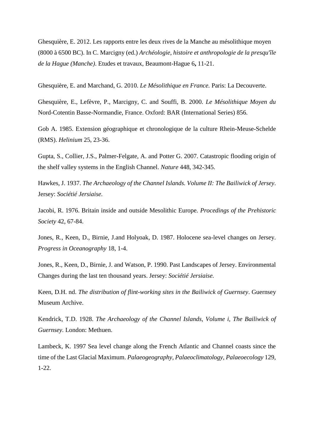Ghesquière, E. 2012. Les rapports entre les deux rives de la Manche au mésolithique moyen (8000 à 6500 BC). In C. Marcigny (ed.) *Archéologie, histoire et anthropologie de la presqu'île de la Hague (Manche)*. Etudes et travaux, Beaumont-Hague 6**,** 11-21.

Ghesquière, E. and Marchand, G. 2010. *Le Mésolithique en France.* Paris: La Decouverte.

Ghesquière, E., Lefèvre, P., Marcigny, C. and Souffi, B. 2000. *Le Mésolithique Moyen du*  Nord-Cotentin Basse-Normandie, France. Oxford: BAR (International Series) 856.

Gob A. 1985. Extension géographique et chronologique de la culture Rhein-Meuse-Schelde (RMS). *Helinium* 25, 23-36.

Gupta, S., Collier, J.S., Palmer-Felgate, A. and Potter G. 2007. Catastropic flooding origin of the shelf valley systems in the English Channel. *Nature* 448, 342-345.

Hawkes, J. 1937. *The Archaeology of the Channel Islands. Volume II: The Bailiwick of Jersey*. Jersey: *Sociétié Jersiaise.*

Jacobi, R. 1976. Britain inside and outside Mesolithic Europe. *Procedings of the Prehistoric Society* 42, 67-84.

Jones, R., Keen, D., Birnie, J.and Holyoak, D. 1987. Holocene sea-level changes on Jersey. *Progress in Oceanography* 18, 1-4.

Jones, R., Keen, D., Birnie, J. and Watson, P. 1990. Past Landscapes of Jersey. Environmental Changes during the last ten thousand years. Jersey: *Sociétié Jersiaise.*

Keen, D.H. nd. *The distribution of flint-working sites in the Bailiwick of Guernsey*. Guernsey Museum Archive.

Kendrick, T.D. 1928. *The Archaeology of the Channel Islands, Volume i, The Bailiwick of Guernsey*. London: Methuen.

Lambeck, K. 1997 Sea level change along the French Atlantic and Channel coasts since the time of the Last Glacial Maximum. *Palaeogeography, Palaeoclimatology, Palaeoecology* 129, 1-22.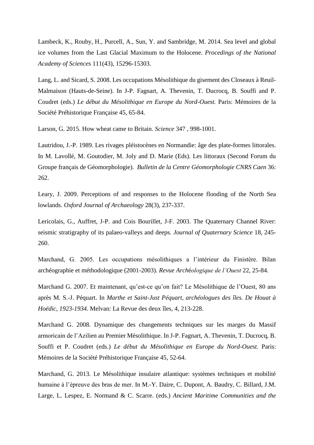Lambeck, K., Rouby, H., Purcell, A., Sun, Y. and Sambridge, M. 2014. Sea level and global ice volumes from the Last Glacial Maximum to the Holocene. *Procedings of the National Academy of Sciences* 111(43), 15296-15303.

Lang, L. and Sicard, S. 2008. Les occupations Mésolithique du gisement des Closeaux à Reuil-Malmaison (Hauts-de-Seine). In J-P. Fagnart, A. Thevenin, T. Ducrocq, B. Souffi and P. Coudret (eds.) *Le début du Mésolithique en Europe du Nord-Ouest.* Paris: Mémoires de la Société Préhistorique Française 45, 65-84.

Larson, G. 2015. How wheat came to Britain. *Science* 347 , 998-1001.

Lautridou, J.-P. 1989. Les rivages pléistocènes en Normandie: âge des plate-formes littorales. In M. Lavollé, M. Goutodier, M. Joly and D. Marie (Eds). Les littoraux (Second Forum du Groupe français de Géomorphologie). *Bulletin de la Centre Géomorphologie CNRS Caen* 36: 262.

Leary, J. 2009. Perceptions of and responses to the Holocene flooding of the North Sea lowlands. *Oxford Journal of Archaeology* 28(3), 237-337.

Lericolais, G., Auffret, J-P. and Cois Bourillet, J-F. 2003. The Quaternary Channel River: seismic stratigraphy of its palaeo-valleys and deeps. *Journal of Quaternary Science* 18, 245- 260.

Marchand, G. 2005. Les occupations mésolithiques a l'intérieur du Finistère. Bilan archéographie et méthodologique (2001-2003). *Revue Arch*é*ologique de l'Ouest* 22, 25-84.

Marchand G. 2007. Et maintenant, qu'est-ce qu'on fait? Le Mésolithique de l'Ouest, 80 ans après M. S.-J. Péquart. In *Marthe et Saint-Just Péquart, archéologues des îles. De Houat à Hoëdic, 1923-1934*. Melvan: La Revue des deux îles, 4, 213-228.

Marchand G. 2008. Dynamique des changements techniques sur les marges du Massif armoricain de l'Azilien au Premier Mésolithique. In J-P. Fagnart, A. Thevenin, T. Ducrocq, B. Souffi et P. Coudret (eds.) *Le début du Mésolithique en Europe du Nord-Ouest*. Paris: Mémoires de la Société Préhistorique Française 45, 52-64.

Marchand, G. 2013. Le Mésolithique insulaire atlantique: systèmes techniques et mobilité humaine à l'épreuve des bras de mer. In M.-Y. Daire, C. Dupont, A. Baudry, C. Billard, J.M. Large, L. Lespez, E. Normand & C. Scarre. (eds.) *Ancient Maritime Communities and the*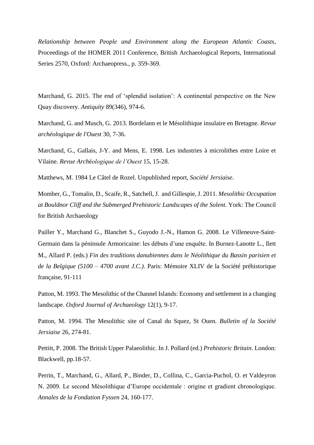*Relationship between People and Environment along the European Atlantic Coasts*, Proceedings of the HOMER 2011 Conference, British Archaeological Reports, International Series 2570, Oxford: Archaeopress., p. 359-369.

Marchand, G. 2015. The end of 'splendid isolation': A continental perspective on the New Quay discovery. *Antiquity* 89(346), 974-6.

Marchand, G. and Musch, G. 2013. Bordelann et le Mésolithique insulaire en Bretagne. *Revue archéologique de l'Ouest* 30, 7-36.

Marchand, G., Gallais, J-Y. and Mens, E. 1998. Les industries à microlithes entre Loire et Vilaine. *Revue Arch*é*ologique de l'Ouest* 15, 15-28.

Matthews, M. 1984 Le Câtel de Rozel. Unpublished report, *Société Jersiaise.*

Momber, G., Tomalin, D., Scaife, R., Satchell, J. and Gillespie, J. 2011. *Mesolithic Occupation at Bouldnor Cliff and the Submerged Prehistoric Landscapes of the Solent*. York: The Council for British Archaeology

Pailler Y., Marchand G., Blanchet S., Guyodo J.-N., Hamon G. 2008. Le Villeneuve‐Saint‐ Germain dans la péninsule Armoricaine: les débuts d'une enquête. In Burnez‐Lanotte L., Ilett M., Allard P. (eds.) *Fin des traditions danubiennes dans le Néolithique du Bassin parisien et de la Belgique (5100 – 4700 avant J.C.)*. Paris: Mémoire XLIV de la Société préhistorique française, 91‐111

Patton, M. 1993. The Mesolithic of the Channel Islands: Economy and settlement in a changing landscape. *Oxford Journal of Archaeology* 12(1), 9-17.

Patton, M. 1994. The Mesolithic site of Canal du Squez, St Ouen. *Bulletin of la Société Jersiaise* 26, 274-81.

Pettitt, P. 2008. The British Upper Palaeolithic. In J. Pollard (ed.) *Prehistoric Britain*. London: Blackwell, pp.18-57.

Perrin, T., Marchand, G., Allard, P., Binder, D., Collina, C., Garcia-Puchol, O. et Valdeyron N. 2009. Le second Mésolithique d'Europe occidentale : origine et gradient chronologique. *Annales de la Fondation Fyssen* 24, 160-177.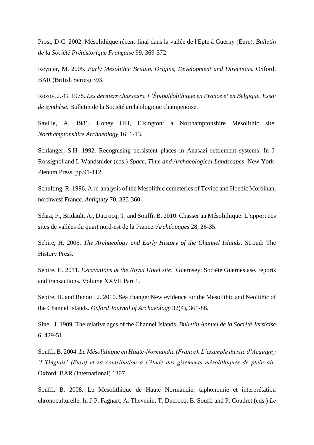Prost, D-C. 2002. Mésolithique récent-final dans la vallée de l'Epte à Guerny (Eure). *Bulletin de la Société Préhistorique Française* 99, 369-372.

Reynier, M. 2005. *Early Mesolithic Britain. Origins, Development and Directions.* Oxford: BAR (British Series) 393.

Rozoy, J.-G. 1978. *Les derniers chasseurs. L'Épipaléolithique en France et en Belgique. Essai de synthèse*. Bulletin de la Société archéologique champenoise.

Saville, A. 1981. Honey Hill, Elkington: a Northamptonshire Mesolithic site. *Northamptonshire Archaeology* 16, 1-13.

Schlanger, S.H. 1992. Recognising persistent places in Anasazi settlement systems. In J. Rossignol and L Wandsnider (eds.) *Space, Time and Archaeological Landscapes*. New York: Plenum Press, pp.91-112.

Schulting, R. 1996. A re-analysis of the Mesolithic cemeteries of Teviec and Hoedic Morbihan, northwest France. *Antiquity* 70, 335-360.

Séara, F., Bridault, A., Ducrocq, T. and Souffi, B. 2010. Chasser au Mésolithique. L'apport des sites de vallées du quart nord-est de la France. *Archéopages* 28, 26-35.

Sebire, H. 2005. *The Archaeology and Early History of the Channel Islands*. Stroud: The History Press.

Sebire, H. 2011. *Excavations at the Royal Hotel site*. Guernsey: Société Guernesiase, reports and transactions. Volume XXVII Part 1.

Sebire, H. and Renouf, J. 2010. Sea change: New evidence for the Mesolithic and Neolithic of the Channel Islands. *Oxford Journal of Archaeology* 32(4), 361-86.

Sinel, J. 1909. The relative ages of the Channel Islands. *Bulletin Annuel de la Société Jersiaise* 6, 429-51.

Souffi, B. 2004. *Le Mésolithique en Haute-Normandie (France). L'example du site d'Acquigny 'L'Onglais' (Eure) et sa contribution à l'étude des gisements mésolithiques de plein air*. Oxford: BAR (International) 1307.

Souffi, B. 2008. Le Mesolithique de Haute Normandie: taphonomie et interprétation chronoculturelle. In J-P. Fagnart, A. Thevenin, T. Ducrocq, B. Souffi and P. Coudret (eds.) *Le*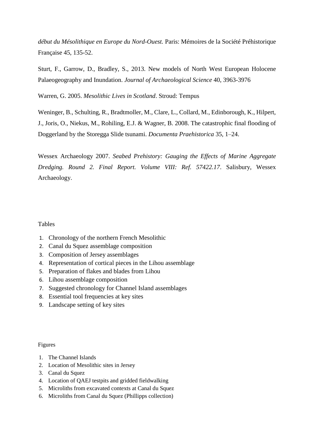*début du Mésolithique en Europe du Nord-Ouest.* Paris: Mémoires de la Société Préhistorique Française 45, 135-52.

Sturt, F., Garrow, D., Bradley, S., 2013. New models of North West European Holocene Palaeogeography and Inundation. *Journal of Archaeological Science* 40, 3963-3976

Warren, G. 2005. *Mesolithic Lives in Scotland*. Stroud: Tempus

Weninger, B., Schulting, R., Bradtmoller, M., Clare, L., Collard, M., Edinborough, K., Hilpert, J., Joris, O., Niekus, M., Rohiling, E.J. & Wagner, B. 2008. The catastrophic final flooding of Doggerland by the Storegga Slide tsunami. *Documenta Praehistorica* 35, 1–24.

Wessex Archaeology 2007. *Seabed Prehistory: Gauging the Effects of Marine Aggregate Dredging. Round 2. Final Report. Volume VIII: Ref. 57422.17*. Salisbury, Wessex Archaeology.

## Tables

- 1. Chronology of the northern French Mesolithic
- 2. Canal du Squez assemblage composition
- 3. Composition of Jersey assemblages
- 4. Representation of cortical pieces in the Lihou assemblage
- 5. Preparation of flakes and blades from Lihou
- 6. Lihou assemblage composition
- 7. Suggested chronology for Channel Island assemblages
- 8. Essential tool frequencies at key sites
- 9. Landscape setting of key sites

### Figures

- 1. The Channel Islands
- 2. Location of Mesolithic sites in Jersey
- 3. Canal du Squez
- 4. Location of QAEJ testpits and gridded fieldwalking
- 5. Microliths from excavated contexts at Canal du Squez
- 6. Microliths from Canal du Squez (Phillipps collection)